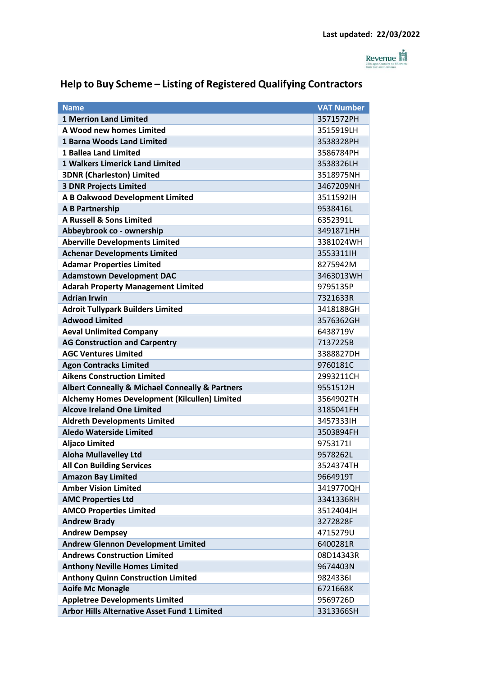

## **Help to Buy Scheme – Listing of Registered Qualifying Contractors**

| <b>Name</b>                                                    | <b>VAT Number</b> |
|----------------------------------------------------------------|-------------------|
| <b>1 Merrion Land Limited</b>                                  | 3571572PH         |
| A Wood new homes Limited                                       | 3515919LH         |
| <b>1 Barna Woods Land Limited</b>                              | 3538328PH         |
| <b>1 Ballea Land Limited</b>                                   | 3586784PH         |
| <b>1 Walkers Limerick Land Limited</b>                         | 3538326LH         |
| <b>3DNR (Charleston) Limited</b>                               | 3518975NH         |
| <b>3 DNR Projects Limited</b>                                  | 3467209NH         |
| A B Oakwood Development Limited                                | 3511592IH         |
| <b>A B Partnership</b>                                         | 9538416L          |
| <b>A Russell &amp; Sons Limited</b>                            | 6352391L          |
| Abbeybrook co - ownership                                      | 3491871HH         |
| <b>Aberville Developments Limited</b>                          | 3381024WH         |
| <b>Achenar Developments Limited</b>                            | 3553311H          |
| <b>Adamar Properties Limited</b>                               | 8275942M          |
| <b>Adamstown Development DAC</b>                               | 3463013WH         |
| <b>Adarah Property Management Limited</b>                      | 9795135P          |
| <b>Adrian Irwin</b>                                            | 7321633R          |
| <b>Adroit Tullypark Builders Limited</b>                       | 3418188GH         |
| <b>Adwood Limited</b>                                          | 3576362GH         |
| <b>Aeval Unlimited Company</b>                                 | 6438719V          |
| <b>AG Construction and Carpentry</b>                           | 7137225B          |
| <b>AGC Ventures Limited</b>                                    | 3388827DH         |
| <b>Agon Contracks Limited</b>                                  | 9760181C          |
| <b>Aikens Construction Limited</b>                             | 2993211CH         |
| <b>Albert Conneally &amp; Michael Conneally &amp; Partners</b> | 9551512H          |
| Alchemy Homes Development (Kilcullen) Limited                  | 3564902TH         |
| <b>Alcove Ireland One Limited</b>                              | 3185041FH         |
| <b>Aldreth Developments Limited</b>                            | 34573331H         |
| <b>Aledo Waterside Limited</b>                                 | 3503894FH         |
| <b>Aljaco Limited</b>                                          | 97531711          |
| <b>Aloha Mullavelley Ltd</b>                                   | 9578262L          |
| <b>All Con Building Services</b>                               | 3524374TH         |
| <b>Amazon Bay Limited</b>                                      | 9664919T          |
| <b>Amber Vision Limited</b>                                    | 3419770QH         |
| <b>AMC Properties Ltd</b>                                      | 3341336RH         |
| <b>AMCO Properties Limited</b>                                 | 3512404JH         |
| <b>Andrew Brady</b>                                            | 3272828F          |
| <b>Andrew Dempsey</b>                                          | 4715279U          |
| <b>Andrew Glennon Development Limited</b>                      | 6400281R          |
| <b>Andrews Construction Limited</b>                            | 08D14343R         |
| <b>Anthony Neville Homes Limited</b>                           | 9674403N          |
| <b>Anthony Quinn Construction Limited</b>                      | 98243361          |
| <b>Aoife Mc Monagle</b>                                        | 6721668K          |
| <b>Appletree Developments Limited</b>                          | 9569726D          |
| <b>Arbor Hills Alternative Asset Fund 1 Limited</b>            | 3313366SH         |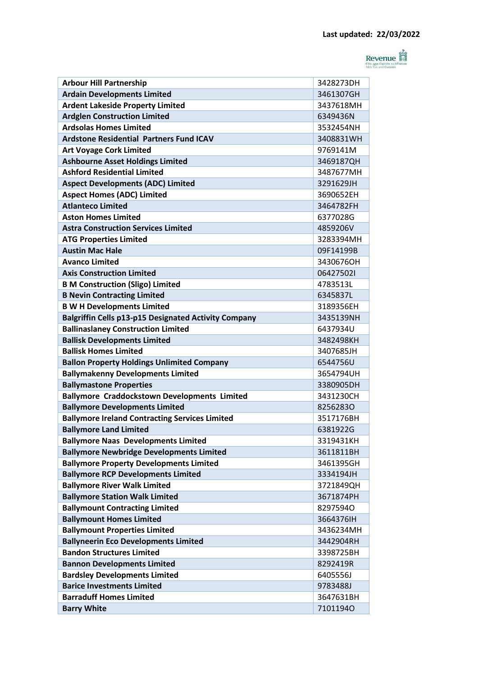

| <b>Arbour Hill Partnership</b>                        | 3428273DH |
|-------------------------------------------------------|-----------|
| <b>Ardain Developments Limited</b>                    | 3461307GH |
| <b>Ardent Lakeside Property Limited</b>               | 3437618MH |
| <b>Ardglen Construction Limited</b>                   | 6349436N  |
| <b>Ardsolas Homes Limited</b>                         | 3532454NH |
| <b>Ardstone Residential Partners Fund ICAV</b>        | 3408831WH |
| <b>Art Voyage Cork Limited</b>                        | 9769141M  |
| <b>Ashbourne Asset Holdings Limited</b>               | 3469187QH |
| <b>Ashford Residential Limited</b>                    | 3487677MH |
| <b>Aspect Developments (ADC) Limited</b>              | 3291629JH |
| <b>Aspect Homes (ADC) Limited</b>                     | 3690652EH |
| <b>Atlanteco Limited</b>                              | 3464782FH |
| <b>Aston Homes Limited</b>                            | 6377028G  |
| <b>Astra Construction Services Limited</b>            | 4859206V  |
| <b>ATG Properties Limited</b>                         | 3283394MH |
| <b>Austin Mac Hale</b>                                | 09F14199B |
| <b>Avanco Limited</b>                                 | 3430676OH |
| <b>Axis Construction Limited</b>                      | 064275021 |
| <b>B M Construction (Sligo) Limited</b>               | 4783513L  |
| <b>B Nevin Contracting Limited</b>                    | 6345837L  |
| <b>B W H Developments Limited</b>                     | 3189356EH |
| Balgriffin Cells p13-p15 Designated Activity Company  | 3435139NH |
| <b>Ballinaslaney Construction Limited</b>             | 6437934U  |
| <b>Ballisk Developments Limited</b>                   | 3482498KH |
| <b>Ballisk Homes Limited</b>                          | 3407685JH |
| <b>Ballon Property Holdings Unlimited Company</b>     | 6544756U  |
| <b>Ballymakenny Developments Limited</b>              | 3654794UH |
| <b>Ballymastone Properties</b>                        | 3380905DH |
| <b>Ballymore Craddockstown Developments Limited</b>   | 3431230CH |
| <b>Ballymore Developments Limited</b>                 | 82562830  |
| <b>Ballymore Ireland Contracting Services Limited</b> | 3517176BH |
| <b>Ballymore Land Limited</b>                         | 6381922G  |
| <b>Ballymore Naas Developments Limited</b>            | 3319431KH |
| <b>Ballymore Newbridge Developments Limited</b>       | 3611811BH |
| <b>Ballymore Property Developments Limited</b>        | 3461395GH |
| <b>Ballymore RCP Developments Limited</b>             | 3334194JH |
| <b>Ballymore River Walk Limited</b>                   | 3721849QH |
| <b>Ballymore Station Walk Limited</b>                 | 3671874PH |
| <b>Ballymount Contracting Limited</b>                 | 82975940  |
| <b>Ballymount Homes Limited</b>                       | 3664376IH |
| <b>Ballymount Properties Limited</b>                  | 3436234MH |
| <b>Ballyneerin Eco Developments Limited</b>           | 3442904RH |
| <b>Bandon Structures Limited</b>                      | 3398725BH |
| <b>Bannon Developments Limited</b>                    | 8292419R  |
| <b>Bardsley Developments Limited</b>                  | 6405556J  |
| <b>Barice Investments Limited</b>                     | 9783488J  |
| <b>Barraduff Homes Limited</b>                        | 3647631BH |
| <b>Barry White</b>                                    | 71011940  |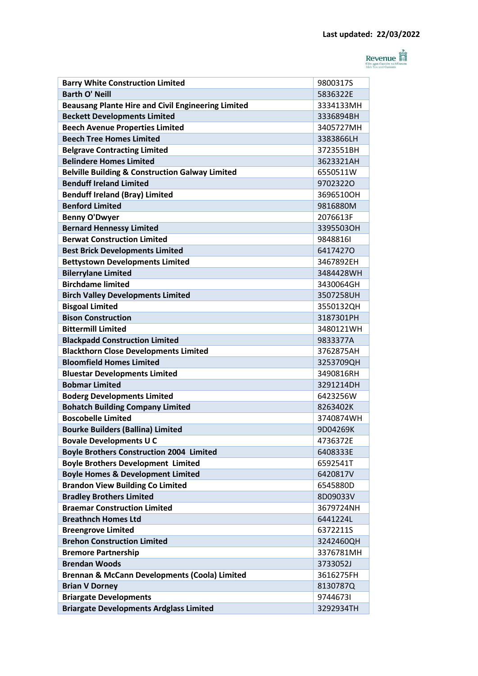

| <b>Barry White Construction Limited</b>                    | 9800317S  |
|------------------------------------------------------------|-----------|
| <b>Barth O' Neill</b>                                      | 5836322E  |
| <b>Beausang Plante Hire and Civil Engineering Limited</b>  | 3334133MH |
| <b>Beckett Developments Limited</b>                        | 3336894BH |
| <b>Beech Avenue Properties Limited</b>                     | 3405727MH |
| <b>Beech Tree Homes Limited</b>                            | 3383866LH |
| <b>Belgrave Contracting Limited</b>                        | 3723551BH |
| <b>Belindere Homes Limited</b>                             | 3623321AH |
| <b>Belville Building &amp; Construction Galway Limited</b> | 6550511W  |
| <b>Benduff Ireland Limited</b>                             | 97023220  |
| <b>Benduff Ireland (Bray) Limited</b>                      | 3696510OH |
| <b>Benford Limited</b>                                     | 9816880M  |
| <b>Benny O'Dwyer</b>                                       | 2076613F  |
| <b>Bernard Hennessy Limited</b>                            | 3395503OH |
| <b>Berwat Construction Limited</b>                         | 98488161  |
| <b>Best Brick Developments Limited</b>                     | 64174270  |
| <b>Bettystown Developments Limited</b>                     | 3467892EH |
| <b>Bilerrylane Limited</b>                                 | 3484428WH |
| <b>Birchdame limited</b>                                   | 3430064GH |
| <b>Birch Valley Developments Limited</b>                   | 3507258UH |
| <b>Bisgoal Limited</b>                                     | 3550132QH |
| <b>Bison Construction</b>                                  | 3187301PH |
| <b>Bittermill Limited</b>                                  | 3480121WH |
| <b>Blackpadd Construction Limited</b>                      | 9833377A  |
| <b>Blackthorn Close Developments Limited</b>               | 3762875AH |
| <b>Bloomfield Homes Limited</b>                            | 3253709QH |
| <b>Bluestar Developments Limited</b>                       | 3490816RH |
| <b>Bobmar Limited</b>                                      | 3291214DH |
| <b>Boderg Developments Limited</b>                         | 6423256W  |
| <b>Bohatch Building Company Limited</b>                    | 8263402K  |
| <b>Boscobelle Limited</b>                                  | 3740874WH |
| <b>Bourke Builders (Ballina) Limited</b>                   | 9D04269K  |
| <b>Bovale Developments U C</b>                             | 4736372E  |
| <b>Boyle Brothers Construction 2004 Limited</b>            | 6408333E  |
| <b>Boyle Brothers Development Limited</b>                  | 6592541T  |
| <b>Boyle Homes &amp; Development Limited</b>               | 6420817V  |
| <b>Brandon View Building Co Limited</b>                    | 6545880D  |
| <b>Bradley Brothers Limited</b>                            | 8D09033V  |
| <b>Braemar Construction Limited</b>                        | 3679724NH |
| <b>Breathnch Homes Ltd</b>                                 | 6441224L  |
| <b>Breengrove Limited</b>                                  | 6372211S  |
| <b>Brehon Construction Limited</b>                         | 3242460QH |
| <b>Bremore Partnership</b>                                 | 3376781MH |
| <b>Brendan Woods</b>                                       | 3733052J  |
| Brennan & McCann Developments (Coola) Limited              | 3616275FH |
| <b>Brian V Dorney</b>                                      | 8130787Q  |
| <b>Briargate Developments</b>                              | 97446731  |
| <b>Briargate Developments Ardglass Limited</b>             | 3292934TH |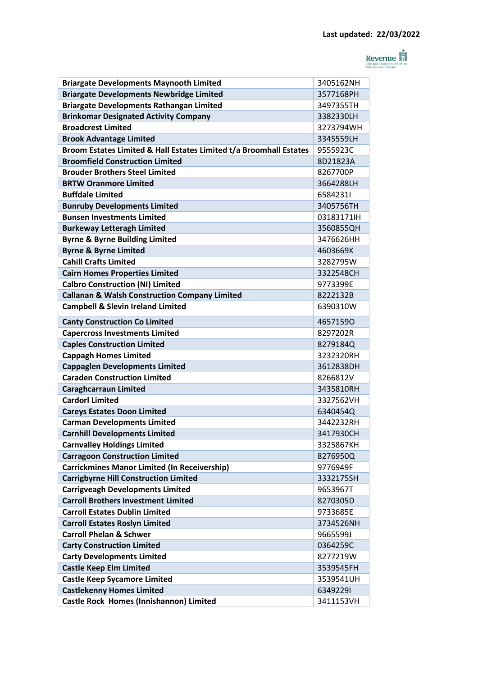

| <b>Briargate Developments Maynooth Limited</b>                     | 3405162NH |
|--------------------------------------------------------------------|-----------|
| <b>Briargate Developments Newbridge Limited</b>                    | 3577168PH |
| <b>Briargate Developments Rathangan Limited</b>                    | 3497355TH |
| <b>Brinkomar Designated Activity Company</b>                       | 3382330LH |
| <b>Broadcrest Limited</b>                                          | 3273794WH |
| <b>Brook Advantage Limited</b>                                     | 3345559LH |
| Broom Estates Limited & Hall Estates Limited t/a Broomhall Estates | 9555923C  |
| <b>Broomfield Construction Limited</b>                             | 8D21823A  |
| <b>Brouder Brothers Steel Limited</b>                              | 8267700P  |
| <b>BRTW Oranmore Limited</b>                                       | 3664288LH |
| <b>Buffdale Limited</b>                                            | 65842311  |
| <b>Bunruby Developments Limited</b>                                | 3405756TH |
| <b>Bunsen Investments Limited</b>                                  | 03183171H |
| <b>Burkeway Letteragh Limited</b>                                  | 3560855QH |
| <b>Byrne &amp; Byrne Building Limited</b>                          | 3476626HH |
| <b>Byrne &amp; Byrne Limited</b>                                   | 4603669K  |
| <b>Cahill Crafts Limited</b>                                       | 3282795W  |
| <b>Cairn Homes Properties Limited</b>                              | 3322548CH |
| <b>Calbro Construction (NI) Limited</b>                            | 9773399E  |
| <b>Callanan &amp; Walsh Construction Company Limited</b>           | 8222132B  |
| <b>Campbell &amp; Slevin Ireland Limited</b>                       | 6390310W  |
| <b>Canty Construction Co Limited</b>                               | 46571590  |
| <b>Capercross Investments Limited</b>                              | 8297202R  |
| <b>Caples Construction Limited</b>                                 | 8279184Q  |
| <b>Cappagh Homes Limited</b>                                       | 3232320RH |
| <b>Cappaglen Developments Limited</b>                              | 3612838DH |
| <b>Caraden Construction Limited</b>                                | 8266812V  |
| <b>Caraghcarraun Limited</b>                                       | 3435810RH |
| <b>Cardorl Limited</b>                                             | 3327562VH |
| <b>Careys Estates Doon Limited</b>                                 | 6340454Q  |
| <b>Carman Developments Limited</b>                                 | 3442232RH |
| <b>Carnhill Developments Limited</b>                               | 3417930CH |
| <b>Carnvalley Holdings Limited</b>                                 | 3325867KH |
| <b>Carragoon Construction Limited</b>                              | 8276950Q  |
| <b>Carrickmines Manor Limited (In Receivership)</b>                | 9776949F  |
| <b>Carrigbyrne Hill Construction Limited</b>                       | 3332175SH |
| <b>Carrigveagh Developments Limited</b>                            | 9653967T  |
| <b>Carroll Brothers Investment Limited</b>                         | 8270305D  |
| <b>Carroll Estates Dublin Limited</b>                              | 9733685E  |
| <b>Carroll Estates Roslyn Limited</b>                              | 3734526NH |
| <b>Carroll Phelan &amp; Schwer</b>                                 | 9665599J  |
| <b>Carty Construction Limited</b>                                  | 0364259C  |
| <b>Carty Developments Limited</b>                                  | 8277219W  |
| <b>Castle Keep Elm Limited</b>                                     | 3539545FH |
| <b>Castle Keep Sycamore Limited</b>                                | 3539541UH |
| <b>Castlekenny Homes Limited</b>                                   | 63492291  |
| Castle Rock Homes (Innishannon) Limited                            | 3411153VH |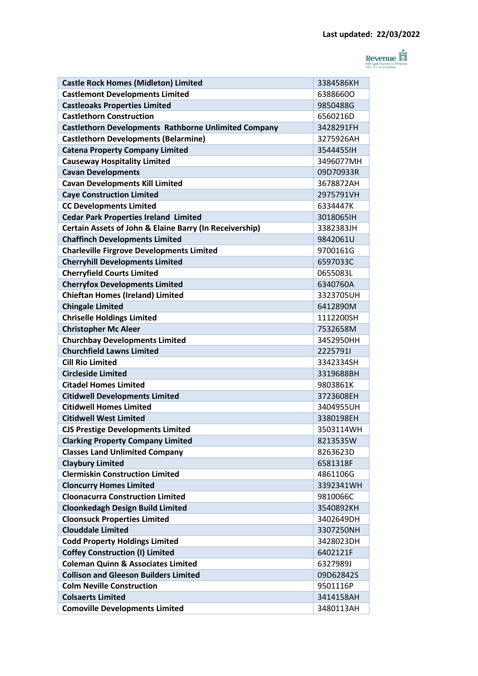

| <b>Castle Rock Homes (Midleton) Limited</b>                 | 3384586KH |
|-------------------------------------------------------------|-----------|
| <b>Castlemont Developments Limited</b>                      | 63886600  |
| <b>Castleoaks Properties Limited</b>                        | 9850488G  |
| <b>Castlethorn Construction</b>                             | 6560216D  |
| <b>Castlethorn Developments Rathborne Unlimited Company</b> | 3428291FH |
| <b>Castlethorn Developments (Belarmine)</b>                 | 3275926AH |
| <b>Catena Property Company Limited</b>                      | 35444551H |
| <b>Causeway Hospitality Limited</b>                         | 3496077MH |
| <b>Cavan Developments</b>                                   | 09D70933R |
| <b>Cavan Developments Kill Limited</b>                      | 3678872AH |
| <b>Caye Construction Limited</b>                            | 2975791VH |
| <b>CC Developments Limited</b>                              | 6334447K  |
| <b>Cedar Park Properties Ireland Limited</b>                | 3018065IH |
| Certain Assets of John & Elaine Barry (In Receivership)     | 3382383JH |
| <b>Chaffinch Developments Limited</b>                       | 9842061U  |
| <b>Charleville Firgrove Developments Limited</b>            | 9700161G  |
| <b>Cherryhill Developments Limited</b>                      | 6597033C  |
| <b>Cherryfield Courts Limited</b>                           | 0655083L  |
| <b>Cherryfox Developments Limited</b>                       | 6340760A  |
| <b>Chieftan Homes (Ireland) Limited</b>                     | 3323705UH |
| <b>Chingale Limited</b>                                     | 6412890M  |
| <b>Chriselle Holdings Limited</b>                           | 1112200SH |
| <b>Christopher Mc Aleer</b>                                 | 7532658M  |
| <b>Churchbay Developments Limited</b>                       | 3452950HH |
| <b>Churchfield Lawns Limited</b>                            | 22257911  |
| <b>Cill Rio Limited</b>                                     | 3342334SH |
| <b>Circleside Limited</b>                                   | 3319688BH |
| <b>Citadel Homes Limited</b>                                | 9803861K  |
| <b>Citidwell Developments Limited</b>                       | 3723608EH |
| <b>Citidwell Homes Limited</b>                              | 3404955UH |
| <b>Citidwell West Limited</b>                               | 3380198EH |
| <b>CJS Prestige Developments Limited</b>                    | 3503114WH |
| <b>Clarking Property Company Limited</b>                    | 8213535W  |
| <b>Classes Land Unlimited Company</b>                       | 8263623D  |
| <b>Claybury Limited</b>                                     | 6581318F  |
| <b>Clermiskin Construction Limited</b>                      | 4861106G  |
| <b>Cloncurry Homes Limited</b>                              | 3392341WH |
| <b>Cloonacurra Construction Limited</b>                     | 9810066C  |
| <b>Cloonkedagh Design Build Limited</b>                     | 3540892KH |
| <b>Cloonsuck Properties Limited</b>                         | 3402649DH |
| <b>Clouddale Limited</b>                                    | 3307250NH |
| <b>Codd Property Holdings Limited</b>                       | 3428023DH |
| <b>Coffey Construction (I) Limited</b>                      | 6402121F  |
| <b>Coleman Quinn &amp; Associates Limited</b>               | 6327989J  |
| <b>Collison and Gleeson Builders Limited</b>                | 09D62842S |
| <b>Colm Neville Construction</b>                            | 9501116P  |
| <b>Colsaerts Limited</b>                                    | 3414158AH |
| <b>Comoville Developments Limited</b>                       | 3480113AH |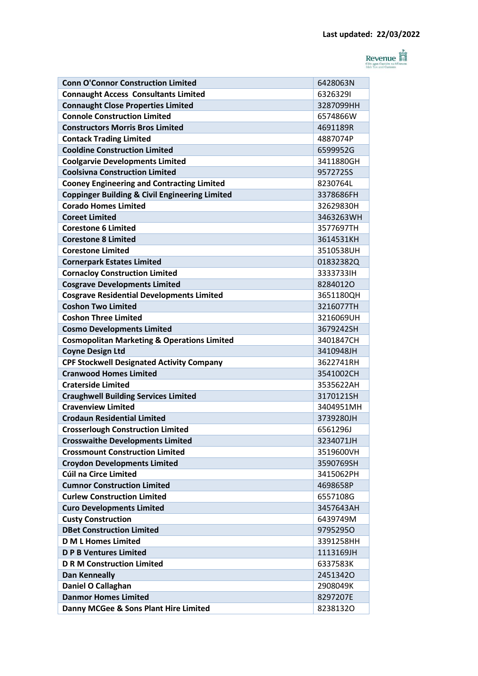

| <b>Conn O'Connor Construction Limited</b>                 | 6428063N  |
|-----------------------------------------------------------|-----------|
| <b>Connaught Access Consultants Limited</b>               | 63263291  |
| <b>Connaught Close Properties Limited</b>                 | 3287099HH |
| <b>Connole Construction Limited</b>                       | 6574866W  |
| <b>Constructors Morris Bros Limited</b>                   | 4691189R  |
| <b>Contack Trading Limited</b>                            | 4887074P  |
| <b>Cooldine Construction Limited</b>                      | 6599952G  |
| <b>Coolgarvie Developments Limited</b>                    | 3411880GH |
| <b>Coolsivna Construction Limited</b>                     | 9572725S  |
| <b>Cooney Engineering and Contracting Limited</b>         | 82307641  |
| <b>Coppinger Building &amp; Civil Engineering Limited</b> | 3378686FH |
| <b>Corado Homes Limited</b>                               | 32629830H |
| <b>Coreet Limited</b>                                     | 3463263WH |
| <b>Corestone 6 Limited</b>                                | 3577697TH |
| <b>Corestone 8 Limited</b>                                | 3614531KH |
| <b>Corestone Limited</b>                                  | 3510538UH |
| <b>Cornerpark Estates Limited</b>                         | 01832382Q |
| <b>Cornacloy Construction Limited</b>                     | 3333733IH |
| <b>Cosgrave Developments Limited</b>                      | 82840120  |
| <b>Cosgrave Residential Developments Limited</b>          | 3651180QH |
| <b>Coshon Two Limited</b>                                 | 3216077TH |
| <b>Coshon Three Limited</b>                               | 3216069UH |
| <b>Cosmo Developments Limited</b>                         | 3679242SH |
| <b>Cosmopolitan Marketing &amp; Operations Limited</b>    | 3401847CH |
| <b>Coyne Design Ltd</b>                                   | 3410948JH |
| <b>CPF Stockwell Designated Activity Company</b>          | 3622741RH |
| <b>Cranwood Homes Limited</b>                             | 3541002CH |
| <b>Craterside Limited</b>                                 | 3535622AH |
| <b>Craughwell Building Services Limited</b>               | 3170121SH |
| <b>Cravenview Limited</b>                                 | 3404951MH |
| <b>Crodaun Residential Limited</b>                        | 3739280JH |
| <b>Crosserlough Construction Limited</b>                  | 65612961  |
| <b>Crosswaithe Developments Limited</b>                   | 3234071JH |
| <b>Crossmount Construction Limited</b>                    | 3519600VH |
| <b>Croydon Developments Limited</b>                       | 3590769SH |
| Cúil na Circe Limited                                     | 3415062PH |
| <b>Cumnor Construction Limited</b>                        | 4698658P  |
| <b>Curlew Construction Limited</b>                        | 6557108G  |
| <b>Curo Developments Limited</b>                          | 3457643AH |
| <b>Custy Construction</b>                                 | 6439749M  |
| <b>DBet Construction Limited</b>                          | 97952950  |
| <b>D M L Homes Limited</b>                                | 3391258HH |
| <b>D P B Ventures Limited</b>                             | 1113169JH |
| <b>D R M Construction Limited</b>                         | 6337583K  |
| <b>Dan Kenneally</b>                                      | 24513420  |
| Daniel O Callaghan                                        | 2908049K  |
| <b>Danmor Homes Limited</b>                               | 8297207E  |
| Danny MCGee & Sons Plant Hire Limited                     | 82381320  |
|                                                           |           |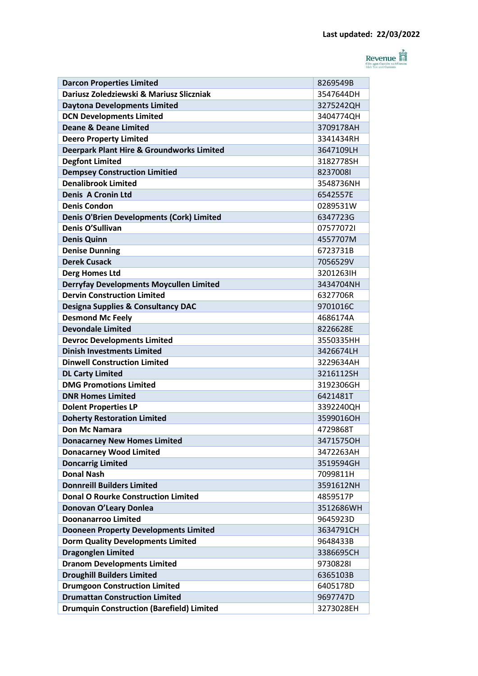

| <b>Darcon Properties Limited</b>                     | 8269549B  |
|------------------------------------------------------|-----------|
| Dariusz Zoledziewski & Mariusz Sliczniak             | 3547644DH |
| <b>Daytona Developments Limited</b>                  | 3275242QH |
| <b>DCN Developments Limited</b>                      | 3404774QH |
| <b>Deane &amp; Deane Limited</b>                     | 3709178AH |
| <b>Deero Property Limited</b>                        | 3341434RH |
| <b>Deerpark Plant Hire &amp; Groundworks Limited</b> | 3647109LH |
| <b>Degfont Limited</b>                               | 3182778SH |
| <b>Dempsey Construction Limitied</b>                 | 82370081  |
| <b>Denalibrook Limited</b>                           | 3548736NH |
| <b>Denis A Cronin Ltd</b>                            | 6542557E  |
| <b>Denis Condon</b>                                  | 0289531W  |
| <b>Denis O'Brien Developments (Cork) Limited</b>     | 6347723G  |
| Denis O'Sullivan                                     | 075770721 |
| <b>Denis Quinn</b>                                   | 4557707M  |
| <b>Denise Dunning</b>                                | 6723731B  |
| <b>Derek Cusack</b>                                  | 7056529V  |
| <b>Derg Homes Ltd</b>                                | 3201263IH |
| <b>Derryfay Developments Moycullen Limited</b>       | 3434704NH |
| <b>Dervin Construction Limited</b>                   | 6327706R  |
| <b>Designa Supplies &amp; Consultancy DAC</b>        | 9701016C  |
| <b>Desmond Mc Feely</b>                              | 4686174A  |
| <b>Devondale Limited</b>                             | 8226628E  |
| <b>Devroc Developments Limited</b>                   | 3550335HH |
| <b>Dinish Investments Limited</b>                    | 3426674LH |
| <b>Dinwell Construction Limited</b>                  | 3229634AH |
| <b>DL Carty Limited</b>                              | 3216112SH |
| <b>DMG Promotions Limited</b>                        | 3192306GH |
| <b>DNR Homes Limited</b>                             | 6421481T  |
| <b>Dolent Properties LP</b>                          | 3392240QH |
| <b>Doherty Restoration Limited</b>                   | 3599016OH |
| <b>Don Mc Namara</b>                                 | 4729868T  |
| <b>Donacarney New Homes Limited</b>                  | 3471575OH |
| <b>Donacarney Wood Limited</b>                       | 3472263AH |
| <b>Doncarrig Limited</b>                             | 3519594GH |
| <b>Donal Nash</b>                                    | 7099811H  |
| <b>Donnreill Builders Limited</b>                    | 3591612NH |
| <b>Donal O Rourke Construction Limited</b>           | 4859517P  |
| Donovan O'Leary Donlea                               | 3512686WH |
| <b>Doonanarroo Limited</b>                           | 9645923D  |
| <b>Dooneen Property Developments Limited</b>         | 3634791CH |
| <b>Dorm Quality Developments Limited</b>             | 9648433B  |
| <b>Dragonglen Limited</b>                            | 3386695CH |
| <b>Dranom Developments Limited</b>                   | 97308281  |
| <b>Droughill Builders Limited</b>                    | 6365103B  |
| <b>Drumgoon Construction Limited</b>                 | 6405178D  |
| <b>Drumattan Construction Limited</b>                | 9697747D  |
| <b>Drumquin Construction (Barefield) Limited</b>     | 3273028EH |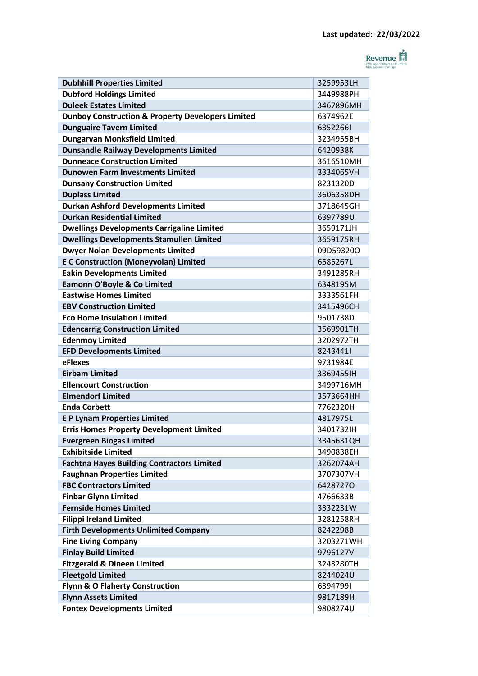

| <b>Dubhhill Properties Limited</b>                           | 3259953LH |
|--------------------------------------------------------------|-----------|
| <b>Dubford Holdings Limited</b>                              | 3449988PH |
| <b>Duleek Estates Limited</b>                                | 3467896MH |
| <b>Dunboy Construction &amp; Property Developers Limited</b> | 6374962E  |
| <b>Dunguaire Tavern Limited</b>                              | 63522661  |
| <b>Dungarvan Monksfield Limited</b>                          | 3234955BH |
| <b>Dunsandle Railway Developments Limited</b>                | 6420938K  |
| <b>Dunneace Construction Limited</b>                         | 3616510MH |
| <b>Dunowen Farm Investments Limited</b>                      | 3334065VH |
| <b>Dunsany Construction Limited</b>                          | 8231320D  |
| <b>Duplass Limited</b>                                       | 3606358DH |
| <b>Durkan Ashford Developments Limited</b>                   | 3718645GH |
| <b>Durkan Residential Limited</b>                            | 6397789U  |
| <b>Dwellings Developments Carrigaline Limited</b>            | 3659171JH |
| <b>Dwellings Developments Stamullen Limited</b>              | 3659175RH |
| <b>Dwyer Nolan Developments Limited</b>                      | 09D59320O |
| <b>E C Construction (Moneyvolan) Limited</b>                 | 6585267L  |
| <b>Eakin Developments Limited</b>                            | 3491285RH |
| Eamonn O'Boyle & Co Limited                                  | 6348195M  |
| <b>Eastwise Homes Limited</b>                                | 3333561FH |
| <b>EBV Construction Limited</b>                              | 3415496CH |
| <b>Eco Home Insulation Limited</b>                           | 9501738D  |
| <b>Edencarrig Construction Limited</b>                       | 3569901TH |
| <b>Edenmoy Limited</b>                                       | 3202972TH |
| <b>EFD Developments Limited</b>                              | 82434411  |
| eFlexes                                                      | 9731984E  |
| <b>Eirbam Limited</b>                                        | 3369455IH |
| <b>Ellencourt Construction</b>                               | 3499716MH |
| <b>Elmendorf Limited</b>                                     | 3573664HH |
| <b>Enda Corbett</b>                                          | 7762320H  |
| <b>EP Lynam Properties Limited</b>                           | 4817975L  |
| <b>Erris Homes Property Development Limited</b>              | 3401732IH |
| <b>Evergreen Biogas Limited</b>                              | 3345631QH |
| <b>Exhibitside Limited</b>                                   | 3490838EH |
| <b>Fachtna Hayes Building Contractors Limited</b>            | 3262074AH |
| <b>Faughnan Properties Limited</b>                           | 3707307VH |
| <b>FBC Contractors Limited</b>                               | 64287270  |
| <b>Finbar Glynn Limited</b>                                  | 4766633B  |
| <b>Fernside Homes Limited</b>                                | 3332231W  |
| <b>Filippi Ireland Limited</b>                               | 3281258RH |
| <b>Firth Developments Unlimited Company</b>                  | 8242298B  |
| <b>Fine Living Company</b>                                   | 3203271WH |
| <b>Finlay Build Limited</b>                                  | 9796127V  |
| <b>Fitzgerald &amp; Dineen Limited</b>                       | 3243280TH |
| <b>Fleetgold Limited</b>                                     | 8244024U  |
| <b>Flynn &amp; O Flaherty Construction</b>                   | 63947991  |
| <b>Flynn Assets Limited</b>                                  | 9817189H  |
| <b>Fontex Developments Limited</b>                           | 9808274U  |
|                                                              |           |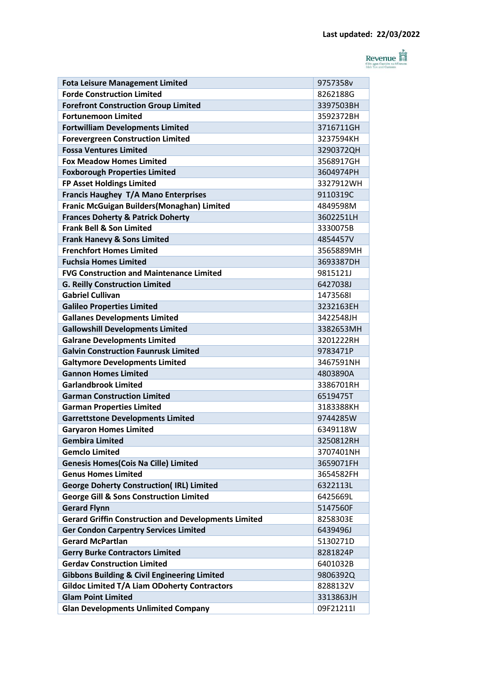

| <b>Fota Leisure Management Limited</b>                      | 9757358v  |
|-------------------------------------------------------------|-----------|
| <b>Forde Construction Limited</b>                           | 8262188G  |
| <b>Forefront Construction Group Limited</b>                 | 3397503BH |
| <b>Fortunemoon Limited</b>                                  | 3592372BH |
| <b>Fortwilliam Developments Limited</b>                     | 3716711GH |
| <b>Forevergreen Construction Limited</b>                    | 3237594KH |
| <b>Fossa Ventures Limited</b>                               | 3290372QH |
| <b>Fox Meadow Homes Limited</b>                             | 3568917GH |
| <b>Foxborough Properties Limited</b>                        | 3604974PH |
| FP Asset Holdings Limited                                   | 3327912WH |
| Francis Haughey T/A Mano Enterprises                        | 9110319C  |
| Franic McGuigan Builders(Monaghan) Limited                  | 4849598M  |
| <b>Frances Doherty &amp; Patrick Doherty</b>                | 3602251LH |
| <b>Frank Bell &amp; Son Limited</b>                         | 3330075B  |
| <b>Frank Hanevy &amp; Sons Limited</b>                      | 4854457V  |
| <b>Frenchfort Homes Limited</b>                             | 3565889MH |
| <b>Fuchsia Homes Limited</b>                                | 3693387DH |
| <b>FVG Construction and Maintenance Limited</b>             | 9815121J  |
| <b>G. Reilly Construction Limited</b>                       | 6427038J  |
| <b>Gabriel Cullivan</b>                                     | 14735681  |
| <b>Galileo Properties Limited</b>                           | 3232163EH |
| <b>Gallanes Developments Limited</b>                        | 3422548JH |
| <b>Gallowshill Developments Limited</b>                     | 3382653MH |
| <b>Galrane Developments Limited</b>                         | 3201222RH |
| <b>Galvin Construction Faunrusk Limited</b>                 | 9783471P  |
| <b>Galtymore Developments Limited</b>                       | 3467591NH |
| <b>Gannon Homes Limited</b>                                 | 4803890A  |
| <b>Garlandbrook Limited</b>                                 | 3386701RH |
| <b>Garman Construction Limited</b>                          | 6519475T  |
| <b>Garman Properties Limited</b>                            | 3183388KH |
| <b>Garrettstone Developments Limited</b>                    | 9744285W  |
| <b>Garvaron Homes Limited</b>                               | 6349118W  |
| <b>Gembira Limited</b>                                      | 3250812RH |
| <b>Gemclo Limited</b>                                       | 3707401NH |
| <b>Genesis Homes (Cois Na Cille) Limited</b>                | 3659071FH |
| <b>Genus Homes Limited</b>                                  | 3654582FH |
| <b>George Doherty Construction(IRL) Limited</b>             | 6322113L  |
| <b>George Gill &amp; Sons Construction Limited</b>          | 6425669L  |
| <b>Gerard Flynn</b>                                         | 5147560F  |
| <b>Gerard Griffin Construction and Developments Limited</b> | 8258303E  |
| <b>Ger Condon Carpentry Services Limited</b>                | 6439496J  |
| <b>Gerard McPartlan</b>                                     | 5130271D  |
| <b>Gerry Burke Contractors Limited</b>                      | 8281824P  |
| <b>Gerdav Construction Limited</b>                          | 6401032B  |
| <b>Gibbons Building &amp; Civil Engineering Limited</b>     | 9806392Q  |
| Gildoc Limited T/A Liam ODoherty Contractors                | 8288132V  |
| <b>Glam Point Limited</b>                                   | 3313863JH |
| <b>Glan Developments Unlimited Company</b>                  | 09F21211I |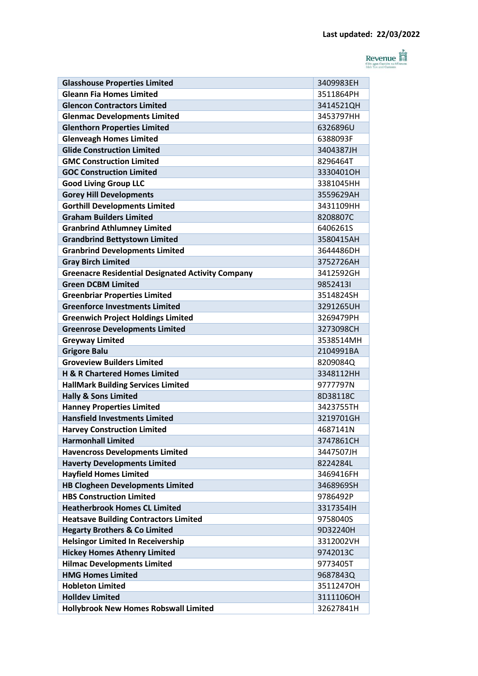

|                                                                         | 3409983EH |
|-------------------------------------------------------------------------|-----------|
| <b>Glasshouse Properties Limited</b><br><b>Gleann Fia Homes Limited</b> | 3511864PH |
| <b>Glencon Contractors Limited</b>                                      | 3414521QH |
| <b>Glenmac Developments Limited</b>                                     | 3453797HH |
| <b>Glenthorn Properties Limited</b>                                     | 6326896U  |
| <b>Glenveagh Homes Limited</b>                                          | 6388093F  |
| <b>Glide Construction Limited</b>                                       | 3404387JH |
| <b>GMC Construction Limited</b>                                         | 8296464T  |
| <b>GOC Construction Limited</b>                                         | 3330401OH |
| <b>Good Living Group LLC</b>                                            | 3381045HH |
| <b>Gorey Hill Developments</b>                                          | 3559629AH |
| <b>Gorthill Developments Limited</b>                                    | 3431109HH |
| <b>Graham Builders Limited</b>                                          | 8208807C  |
| <b>Granbrind Athlumney Limited</b>                                      | 6406261S  |
| <b>Grandbrind Bettystown Limited</b>                                    | 3580415AH |
| <b>Granbrind Developments Limited</b>                                   | 3644486DH |
| <b>Gray Birch Limited</b>                                               | 3752726AH |
| <b>Greenacre Residential Designated Activity Company</b>                | 3412592GH |
| <b>Green DCBM Limited</b>                                               | 98524131  |
| <b>Greenbriar Properties Limited</b>                                    | 3514824SH |
| <b>Greenforce Investments Limited</b>                                   | 3291265UH |
| <b>Greenwich Project Holdings Limited</b>                               | 3269479PH |
| <b>Greenrose Developments Limited</b>                                   | 3273098CH |
| <b>Greyway Limited</b>                                                  | 3538514MH |
| <b>Grigore Balu</b>                                                     | 2104991BA |
| <b>Groveview Builders Limited</b>                                       | 8209084Q  |
| H & R Chartered Homes Limited                                           | 3348112HH |
| <b>HallMark Building Services Limited</b>                               | 9777797N  |
| <b>Hally &amp; Sons Limited</b>                                         | 8D38118C  |
| <b>Hanney Properties Limited</b>                                        | 3423755TH |
| <b>Hansfield Investments Limited</b>                                    | 3219701GH |
| <b>Harvey Construction Limited</b>                                      | 4687141N  |
| <b>Harmonhall Limited</b>                                               | 3747861CH |
| <b>Havencross Developments Limited</b>                                  | 3447507JH |
| <b>Haverty Developments Limited</b>                                     | 8224284L  |
| <b>Hayfield Homes Limited</b>                                           | 3469416FH |
| <b>HB Clogheen Developments Limited</b>                                 | 3468969SH |
| <b>HBS Construction Limited</b>                                         | 9786492P  |
| <b>Heatherbrook Homes CL Limited</b>                                    | 3317354IH |
| <b>Heatsave Building Contractors Limited</b>                            | 9758040S  |
| <b>Hegarty Brothers &amp; Co Limited</b>                                | 9D32240H  |
| <b>Helsingor Limited In Receivership</b>                                | 3312002VH |
| <b>Hickey Homes Athenry Limited</b>                                     | 9742013C  |
| <b>Hilmac Developments Limited</b>                                      | 9773405T  |
| <b>HMG Homes Limited</b>                                                | 9687843Q  |
| <b>Hobleton Limited</b>                                                 | 3511247OH |
| <b>Holldev Limited</b>                                                  | 3111106OH |
| <b>Hollybrook New Homes Robswall Limited</b>                            | 32627841H |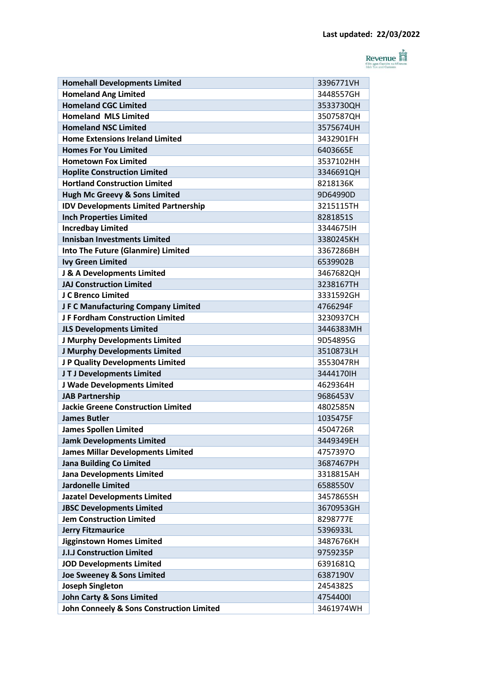

| <b>Homehall Developments Limited</b>        | 3396771VH |
|---------------------------------------------|-----------|
| <b>Homeland Ang Limited</b>                 | 3448557GH |
| <b>Homeland CGC Limited</b>                 | 3533730QH |
| <b>Homeland MLS Limited</b>                 | 3507587QH |
| <b>Homeland NSC Limited</b>                 | 3575674UH |
| <b>Home Extensions Ireland Limited</b>      | 3432901FH |
| <b>Homes For You Limited</b>                | 6403665E  |
| <b>Hometown Fox Limited</b>                 | 3537102HH |
| <b>Hoplite Construction Limited</b>         | 3346691QH |
| <b>Hortland Construction Limited</b>        | 8218136K  |
| Hugh Mc Greevy & Sons Limited               | 9D64990D  |
| <b>IDV Developments Limited Partnership</b> | 3215115TH |
| <b>Inch Properties Limited</b>              | 8281851S  |
| <b>Incredbay Limited</b>                    | 3344675IH |
| <b>Innisban Investments Limited</b>         | 3380245KH |
| <b>Into The Future (Glanmire) Limited</b>   | 3367286BH |
| <b>Ivy Green Limited</b>                    | 6539902B  |
| J & A Developments Limited                  | 3467682QH |
| <b>JAJ Construction Limited</b>             | 3238167TH |
| J C Brenco Limited                          | 3331592GH |
| JF C Manufacturing Company Limited          | 4766294F  |
| J F Fordham Construction Limited            | 3230937CH |
| <b>JLS Developments Limited</b>             | 3446383MH |
| J Murphy Developments Limited               | 9D54895G  |
| J Murphy Developments Limited               | 3510873LH |
| J P Quality Developments Limited            | 3553047RH |
| JTJ Developments Limited                    | 3444170IH |
| J Wade Developments Limited                 | 4629364H  |
| <b>JAB Partnership</b>                      | 9686453V  |
| <b>Jackie Greene Construction Limited</b>   | 4802585N  |
| <b>James Butler</b>                         | 1035475F  |
| <b>James Spollen Limited</b>                | 4504726R  |
| <b>Jamk Developments Limited</b>            | 3449349EH |
| <b>James Millar Developments Limited</b>    | 47573970  |
| <b>Jana Building Co Limited</b>             | 3687467PH |
| <b>Jana Developments Limited</b>            | 3318815AH |
| <b>Jardonelle Limited</b>                   | 6588550V  |
| <b>Jazatel Developments Limited</b>         | 3457865SH |
| <b>JBSC Developments Limited</b>            | 3670953GH |
| <b>Jem Construction Limited</b>             | 8298777E  |
| <b>Jerry Fitzmaurice</b>                    | 5396933L  |
| Jigginstown Homes Limited                   | 3487676KH |
| <b>J.I.J Construction Limited</b>           | 9759235P  |
| <b>JOD Developments Limited</b>             | 6391681Q  |
| Joe Sweeney & Sons Limited                  | 6387190V  |
| <b>Joseph Singleton</b>                     | 2454382S  |
| <b>John Carty &amp; Sons Limited</b>        | 47544001  |
| John Conneely & Sons Construction Limited   | 3461974WH |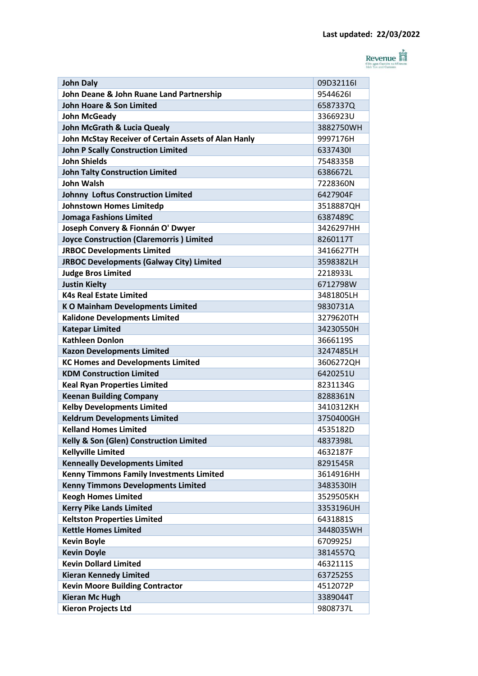

| John Deane & John Ruane Land Partnership<br>95446261<br><b>John Hoare &amp; Son Limited</b><br>6587337Q<br>3366923U<br><b>John McGeady</b><br><b>John McGrath &amp; Lucia Quealy</b><br>3882750WH<br>John McStay Receiver of Certain Assets of Alan Hanly<br>9997176H<br><b>John P Scally Construction Limited</b><br>63374301<br><b>John Shields</b><br>7548335B<br><b>John Talty Construction Limited</b><br>6386672L<br><b>John Walsh</b><br>7228360N<br><b>Johnny Loftus Construction Limited</b><br>6427904F<br>Johnstown Homes Limitedp<br>3518887QH<br><b>Jomaga Fashions Limited</b><br>6387489C<br>Joseph Convery & Fionnán O' Dwyer<br>3426297HH<br><b>Joyce Construction (Claremorris) Limited</b><br>8260117T<br><b>JRBOC Developments Limited</b><br>3416627TH<br><b>JRBOC Developments (Galway City) Limited</b><br>3598382LH<br><b>Judge Bros Limited</b><br>2218933L<br><b>Justin Kielty</b><br>6712798W<br><b>K4s Real Estate Limited</b><br>3481805LH<br><b>KO Mainham Developments Limited</b><br>9830731A<br><b>Kalidone Developments Limited</b><br>3279620TH<br><b>Katepar Limited</b><br>34230550H<br><b>Kathleen Donlon</b><br>3666119S<br><b>Kazon Developments Limited</b><br>3247485LH<br><b>KC Homes and Developments Limited</b><br>3606272QH<br><b>KDM Construction Limited</b><br>6420251U<br><b>Keal Ryan Properties Limited</b><br>8231134G<br><b>Keenan Building Company</b><br>8288361N<br><b>Kelby Developments Limited</b><br>3410312KH<br><b>Keldrum Developments Limited</b><br>3750400GH<br><b>Kelland Homes Limited</b><br>4535182D<br>Kelly & Son (Glen) Construction Limited<br>4837398L<br><b>Kellyville Limited</b><br>4632187F<br><b>Kenneally Developments Limited</b><br>8291545R<br><b>Kenny Timmons Family Investments Limited</b><br>3614916HH<br><b>Kenny Timmons Developments Limited</b><br>3483530IH<br><b>Keogh Homes Limited</b><br>3529505KH<br><b>Kerry Pike Lands Limited</b><br>3353196UH<br><b>Keltston Properties Limited</b><br>6431881S<br><b>Kettle Homes Limited</b><br>3448035WH<br><b>Kevin Boyle</b><br>6709925J<br><b>Kevin Doyle</b><br>3814557Q<br><b>Kevin Dollard Limited</b><br>4632111S<br><b>Kieran Kennedy Limited</b><br>6372525S<br><b>Kevin Moore Building Contractor</b><br>4512072P<br><b>Kieran Mc Hugh</b><br>3389044T<br><b>Kieron Projects Ltd</b><br>9808737L | <b>John Daly</b> | 09D32116I |
|--------------------------------------------------------------------------------------------------------------------------------------------------------------------------------------------------------------------------------------------------------------------------------------------------------------------------------------------------------------------------------------------------------------------------------------------------------------------------------------------------------------------------------------------------------------------------------------------------------------------------------------------------------------------------------------------------------------------------------------------------------------------------------------------------------------------------------------------------------------------------------------------------------------------------------------------------------------------------------------------------------------------------------------------------------------------------------------------------------------------------------------------------------------------------------------------------------------------------------------------------------------------------------------------------------------------------------------------------------------------------------------------------------------------------------------------------------------------------------------------------------------------------------------------------------------------------------------------------------------------------------------------------------------------------------------------------------------------------------------------------------------------------------------------------------------------------------------------------------------------------------------------------------------------------------------------------------------------------------------------------------------------------------------------------------------------------------------------------------------------------------------------------------------------------------------------------------------------------------------------------------------------------------------------------------------------------------------------------------|------------------|-----------|
|                                                                                                                                                                                                                                                                                                                                                                                                                                                                                                                                                                                                                                                                                                                                                                                                                                                                                                                                                                                                                                                                                                                                                                                                                                                                                                                                                                                                                                                                                                                                                                                                                                                                                                                                                                                                                                                                                                                                                                                                                                                                                                                                                                                                                                                                                                                                                        |                  |           |
|                                                                                                                                                                                                                                                                                                                                                                                                                                                                                                                                                                                                                                                                                                                                                                                                                                                                                                                                                                                                                                                                                                                                                                                                                                                                                                                                                                                                                                                                                                                                                                                                                                                                                                                                                                                                                                                                                                                                                                                                                                                                                                                                                                                                                                                                                                                                                        |                  |           |
|                                                                                                                                                                                                                                                                                                                                                                                                                                                                                                                                                                                                                                                                                                                                                                                                                                                                                                                                                                                                                                                                                                                                                                                                                                                                                                                                                                                                                                                                                                                                                                                                                                                                                                                                                                                                                                                                                                                                                                                                                                                                                                                                                                                                                                                                                                                                                        |                  |           |
|                                                                                                                                                                                                                                                                                                                                                                                                                                                                                                                                                                                                                                                                                                                                                                                                                                                                                                                                                                                                                                                                                                                                                                                                                                                                                                                                                                                                                                                                                                                                                                                                                                                                                                                                                                                                                                                                                                                                                                                                                                                                                                                                                                                                                                                                                                                                                        |                  |           |
|                                                                                                                                                                                                                                                                                                                                                                                                                                                                                                                                                                                                                                                                                                                                                                                                                                                                                                                                                                                                                                                                                                                                                                                                                                                                                                                                                                                                                                                                                                                                                                                                                                                                                                                                                                                                                                                                                                                                                                                                                                                                                                                                                                                                                                                                                                                                                        |                  |           |
|                                                                                                                                                                                                                                                                                                                                                                                                                                                                                                                                                                                                                                                                                                                                                                                                                                                                                                                                                                                                                                                                                                                                                                                                                                                                                                                                                                                                                                                                                                                                                                                                                                                                                                                                                                                                                                                                                                                                                                                                                                                                                                                                                                                                                                                                                                                                                        |                  |           |
|                                                                                                                                                                                                                                                                                                                                                                                                                                                                                                                                                                                                                                                                                                                                                                                                                                                                                                                                                                                                                                                                                                                                                                                                                                                                                                                                                                                                                                                                                                                                                                                                                                                                                                                                                                                                                                                                                                                                                                                                                                                                                                                                                                                                                                                                                                                                                        |                  |           |
|                                                                                                                                                                                                                                                                                                                                                                                                                                                                                                                                                                                                                                                                                                                                                                                                                                                                                                                                                                                                                                                                                                                                                                                                                                                                                                                                                                                                                                                                                                                                                                                                                                                                                                                                                                                                                                                                                                                                                                                                                                                                                                                                                                                                                                                                                                                                                        |                  |           |
|                                                                                                                                                                                                                                                                                                                                                                                                                                                                                                                                                                                                                                                                                                                                                                                                                                                                                                                                                                                                                                                                                                                                                                                                                                                                                                                                                                                                                                                                                                                                                                                                                                                                                                                                                                                                                                                                                                                                                                                                                                                                                                                                                                                                                                                                                                                                                        |                  |           |
|                                                                                                                                                                                                                                                                                                                                                                                                                                                                                                                                                                                                                                                                                                                                                                                                                                                                                                                                                                                                                                                                                                                                                                                                                                                                                                                                                                                                                                                                                                                                                                                                                                                                                                                                                                                                                                                                                                                                                                                                                                                                                                                                                                                                                                                                                                                                                        |                  |           |
|                                                                                                                                                                                                                                                                                                                                                                                                                                                                                                                                                                                                                                                                                                                                                                                                                                                                                                                                                                                                                                                                                                                                                                                                                                                                                                                                                                                                                                                                                                                                                                                                                                                                                                                                                                                                                                                                                                                                                                                                                                                                                                                                                                                                                                                                                                                                                        |                  |           |
|                                                                                                                                                                                                                                                                                                                                                                                                                                                                                                                                                                                                                                                                                                                                                                                                                                                                                                                                                                                                                                                                                                                                                                                                                                                                                                                                                                                                                                                                                                                                                                                                                                                                                                                                                                                                                                                                                                                                                                                                                                                                                                                                                                                                                                                                                                                                                        |                  |           |
|                                                                                                                                                                                                                                                                                                                                                                                                                                                                                                                                                                                                                                                                                                                                                                                                                                                                                                                                                                                                                                                                                                                                                                                                                                                                                                                                                                                                                                                                                                                                                                                                                                                                                                                                                                                                                                                                                                                                                                                                                                                                                                                                                                                                                                                                                                                                                        |                  |           |
|                                                                                                                                                                                                                                                                                                                                                                                                                                                                                                                                                                                                                                                                                                                                                                                                                                                                                                                                                                                                                                                                                                                                                                                                                                                                                                                                                                                                                                                                                                                                                                                                                                                                                                                                                                                                                                                                                                                                                                                                                                                                                                                                                                                                                                                                                                                                                        |                  |           |
|                                                                                                                                                                                                                                                                                                                                                                                                                                                                                                                                                                                                                                                                                                                                                                                                                                                                                                                                                                                                                                                                                                                                                                                                                                                                                                                                                                                                                                                                                                                                                                                                                                                                                                                                                                                                                                                                                                                                                                                                                                                                                                                                                                                                                                                                                                                                                        |                  |           |
|                                                                                                                                                                                                                                                                                                                                                                                                                                                                                                                                                                                                                                                                                                                                                                                                                                                                                                                                                                                                                                                                                                                                                                                                                                                                                                                                                                                                                                                                                                                                                                                                                                                                                                                                                                                                                                                                                                                                                                                                                                                                                                                                                                                                                                                                                                                                                        |                  |           |
|                                                                                                                                                                                                                                                                                                                                                                                                                                                                                                                                                                                                                                                                                                                                                                                                                                                                                                                                                                                                                                                                                                                                                                                                                                                                                                                                                                                                                                                                                                                                                                                                                                                                                                                                                                                                                                                                                                                                                                                                                                                                                                                                                                                                                                                                                                                                                        |                  |           |
|                                                                                                                                                                                                                                                                                                                                                                                                                                                                                                                                                                                                                                                                                                                                                                                                                                                                                                                                                                                                                                                                                                                                                                                                                                                                                                                                                                                                                                                                                                                                                                                                                                                                                                                                                                                                                                                                                                                                                                                                                                                                                                                                                                                                                                                                                                                                                        |                  |           |
|                                                                                                                                                                                                                                                                                                                                                                                                                                                                                                                                                                                                                                                                                                                                                                                                                                                                                                                                                                                                                                                                                                                                                                                                                                                                                                                                                                                                                                                                                                                                                                                                                                                                                                                                                                                                                                                                                                                                                                                                                                                                                                                                                                                                                                                                                                                                                        |                  |           |
|                                                                                                                                                                                                                                                                                                                                                                                                                                                                                                                                                                                                                                                                                                                                                                                                                                                                                                                                                                                                                                                                                                                                                                                                                                                                                                                                                                                                                                                                                                                                                                                                                                                                                                                                                                                                                                                                                                                                                                                                                                                                                                                                                                                                                                                                                                                                                        |                  |           |
|                                                                                                                                                                                                                                                                                                                                                                                                                                                                                                                                                                                                                                                                                                                                                                                                                                                                                                                                                                                                                                                                                                                                                                                                                                                                                                                                                                                                                                                                                                                                                                                                                                                                                                                                                                                                                                                                                                                                                                                                                                                                                                                                                                                                                                                                                                                                                        |                  |           |
|                                                                                                                                                                                                                                                                                                                                                                                                                                                                                                                                                                                                                                                                                                                                                                                                                                                                                                                                                                                                                                                                                                                                                                                                                                                                                                                                                                                                                                                                                                                                                                                                                                                                                                                                                                                                                                                                                                                                                                                                                                                                                                                                                                                                                                                                                                                                                        |                  |           |
|                                                                                                                                                                                                                                                                                                                                                                                                                                                                                                                                                                                                                                                                                                                                                                                                                                                                                                                                                                                                                                                                                                                                                                                                                                                                                                                                                                                                                                                                                                                                                                                                                                                                                                                                                                                                                                                                                                                                                                                                                                                                                                                                                                                                                                                                                                                                                        |                  |           |
|                                                                                                                                                                                                                                                                                                                                                                                                                                                                                                                                                                                                                                                                                                                                                                                                                                                                                                                                                                                                                                                                                                                                                                                                                                                                                                                                                                                                                                                                                                                                                                                                                                                                                                                                                                                                                                                                                                                                                                                                                                                                                                                                                                                                                                                                                                                                                        |                  |           |
|                                                                                                                                                                                                                                                                                                                                                                                                                                                                                                                                                                                                                                                                                                                                                                                                                                                                                                                                                                                                                                                                                                                                                                                                                                                                                                                                                                                                                                                                                                                                                                                                                                                                                                                                                                                                                                                                                                                                                                                                                                                                                                                                                                                                                                                                                                                                                        |                  |           |
|                                                                                                                                                                                                                                                                                                                                                                                                                                                                                                                                                                                                                                                                                                                                                                                                                                                                                                                                                                                                                                                                                                                                                                                                                                                                                                                                                                                                                                                                                                                                                                                                                                                                                                                                                                                                                                                                                                                                                                                                                                                                                                                                                                                                                                                                                                                                                        |                  |           |
|                                                                                                                                                                                                                                                                                                                                                                                                                                                                                                                                                                                                                                                                                                                                                                                                                                                                                                                                                                                                                                                                                                                                                                                                                                                                                                                                                                                                                                                                                                                                                                                                                                                                                                                                                                                                                                                                                                                                                                                                                                                                                                                                                                                                                                                                                                                                                        |                  |           |
|                                                                                                                                                                                                                                                                                                                                                                                                                                                                                                                                                                                                                                                                                                                                                                                                                                                                                                                                                                                                                                                                                                                                                                                                                                                                                                                                                                                                                                                                                                                                                                                                                                                                                                                                                                                                                                                                                                                                                                                                                                                                                                                                                                                                                                                                                                                                                        |                  |           |
|                                                                                                                                                                                                                                                                                                                                                                                                                                                                                                                                                                                                                                                                                                                                                                                                                                                                                                                                                                                                                                                                                                                                                                                                                                                                                                                                                                                                                                                                                                                                                                                                                                                                                                                                                                                                                                                                                                                                                                                                                                                                                                                                                                                                                                                                                                                                                        |                  |           |
|                                                                                                                                                                                                                                                                                                                                                                                                                                                                                                                                                                                                                                                                                                                                                                                                                                                                                                                                                                                                                                                                                                                                                                                                                                                                                                                                                                                                                                                                                                                                                                                                                                                                                                                                                                                                                                                                                                                                                                                                                                                                                                                                                                                                                                                                                                                                                        |                  |           |
|                                                                                                                                                                                                                                                                                                                                                                                                                                                                                                                                                                                                                                                                                                                                                                                                                                                                                                                                                                                                                                                                                                                                                                                                                                                                                                                                                                                                                                                                                                                                                                                                                                                                                                                                                                                                                                                                                                                                                                                                                                                                                                                                                                                                                                                                                                                                                        |                  |           |
|                                                                                                                                                                                                                                                                                                                                                                                                                                                                                                                                                                                                                                                                                                                                                                                                                                                                                                                                                                                                                                                                                                                                                                                                                                                                                                                                                                                                                                                                                                                                                                                                                                                                                                                                                                                                                                                                                                                                                                                                                                                                                                                                                                                                                                                                                                                                                        |                  |           |
|                                                                                                                                                                                                                                                                                                                                                                                                                                                                                                                                                                                                                                                                                                                                                                                                                                                                                                                                                                                                                                                                                                                                                                                                                                                                                                                                                                                                                                                                                                                                                                                                                                                                                                                                                                                                                                                                                                                                                                                                                                                                                                                                                                                                                                                                                                                                                        |                  |           |
|                                                                                                                                                                                                                                                                                                                                                                                                                                                                                                                                                                                                                                                                                                                                                                                                                                                                                                                                                                                                                                                                                                                                                                                                                                                                                                                                                                                                                                                                                                                                                                                                                                                                                                                                                                                                                                                                                                                                                                                                                                                                                                                                                                                                                                                                                                                                                        |                  |           |
|                                                                                                                                                                                                                                                                                                                                                                                                                                                                                                                                                                                                                                                                                                                                                                                                                                                                                                                                                                                                                                                                                                                                                                                                                                                                                                                                                                                                                                                                                                                                                                                                                                                                                                                                                                                                                                                                                                                                                                                                                                                                                                                                                                                                                                                                                                                                                        |                  |           |
|                                                                                                                                                                                                                                                                                                                                                                                                                                                                                                                                                                                                                                                                                                                                                                                                                                                                                                                                                                                                                                                                                                                                                                                                                                                                                                                                                                                                                                                                                                                                                                                                                                                                                                                                                                                                                                                                                                                                                                                                                                                                                                                                                                                                                                                                                                                                                        |                  |           |
|                                                                                                                                                                                                                                                                                                                                                                                                                                                                                                                                                                                                                                                                                                                                                                                                                                                                                                                                                                                                                                                                                                                                                                                                                                                                                                                                                                                                                                                                                                                                                                                                                                                                                                                                                                                                                                                                                                                                                                                                                                                                                                                                                                                                                                                                                                                                                        |                  |           |
|                                                                                                                                                                                                                                                                                                                                                                                                                                                                                                                                                                                                                                                                                                                                                                                                                                                                                                                                                                                                                                                                                                                                                                                                                                                                                                                                                                                                                                                                                                                                                                                                                                                                                                                                                                                                                                                                                                                                                                                                                                                                                                                                                                                                                                                                                                                                                        |                  |           |
|                                                                                                                                                                                                                                                                                                                                                                                                                                                                                                                                                                                                                                                                                                                                                                                                                                                                                                                                                                                                                                                                                                                                                                                                                                                                                                                                                                                                                                                                                                                                                                                                                                                                                                                                                                                                                                                                                                                                                                                                                                                                                                                                                                                                                                                                                                                                                        |                  |           |
|                                                                                                                                                                                                                                                                                                                                                                                                                                                                                                                                                                                                                                                                                                                                                                                                                                                                                                                                                                                                                                                                                                                                                                                                                                                                                                                                                                                                                                                                                                                                                                                                                                                                                                                                                                                                                                                                                                                                                                                                                                                                                                                                                                                                                                                                                                                                                        |                  |           |
|                                                                                                                                                                                                                                                                                                                                                                                                                                                                                                                                                                                                                                                                                                                                                                                                                                                                                                                                                                                                                                                                                                                                                                                                                                                                                                                                                                                                                                                                                                                                                                                                                                                                                                                                                                                                                                                                                                                                                                                                                                                                                                                                                                                                                                                                                                                                                        |                  |           |
|                                                                                                                                                                                                                                                                                                                                                                                                                                                                                                                                                                                                                                                                                                                                                                                                                                                                                                                                                                                                                                                                                                                                                                                                                                                                                                                                                                                                                                                                                                                                                                                                                                                                                                                                                                                                                                                                                                                                                                                                                                                                                                                                                                                                                                                                                                                                                        |                  |           |
|                                                                                                                                                                                                                                                                                                                                                                                                                                                                                                                                                                                                                                                                                                                                                                                                                                                                                                                                                                                                                                                                                                                                                                                                                                                                                                                                                                                                                                                                                                                                                                                                                                                                                                                                                                                                                                                                                                                                                                                                                                                                                                                                                                                                                                                                                                                                                        |                  |           |
|                                                                                                                                                                                                                                                                                                                                                                                                                                                                                                                                                                                                                                                                                                                                                                                                                                                                                                                                                                                                                                                                                                                                                                                                                                                                                                                                                                                                                                                                                                                                                                                                                                                                                                                                                                                                                                                                                                                                                                                                                                                                                                                                                                                                                                                                                                                                                        |                  |           |
|                                                                                                                                                                                                                                                                                                                                                                                                                                                                                                                                                                                                                                                                                                                                                                                                                                                                                                                                                                                                                                                                                                                                                                                                                                                                                                                                                                                                                                                                                                                                                                                                                                                                                                                                                                                                                                                                                                                                                                                                                                                                                                                                                                                                                                                                                                                                                        |                  |           |
|                                                                                                                                                                                                                                                                                                                                                                                                                                                                                                                                                                                                                                                                                                                                                                                                                                                                                                                                                                                                                                                                                                                                                                                                                                                                                                                                                                                                                                                                                                                                                                                                                                                                                                                                                                                                                                                                                                                                                                                                                                                                                                                                                                                                                                                                                                                                                        |                  |           |
|                                                                                                                                                                                                                                                                                                                                                                                                                                                                                                                                                                                                                                                                                                                                                                                                                                                                                                                                                                                                                                                                                                                                                                                                                                                                                                                                                                                                                                                                                                                                                                                                                                                                                                                                                                                                                                                                                                                                                                                                                                                                                                                                                                                                                                                                                                                                                        |                  |           |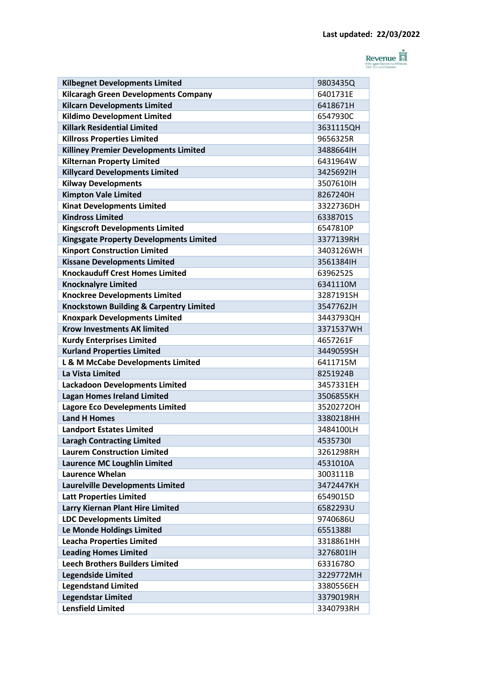

| <b>Kilbegnet Developments Limited</b>              | 9803435Q  |
|----------------------------------------------------|-----------|
| <b>Kilcaragh Green Developments Company</b>        | 6401731E  |
| <b>Kilcarn Developments Limited</b>                | 6418671H  |
| <b>Kildimo Development Limited</b>                 | 6547930C  |
| <b>Killark Residential Limited</b>                 | 3631115QH |
| <b>Killross Properties Limited</b>                 | 9656325R  |
| <b>Killiney Premier Developments Limited</b>       | 3488664IH |
| <b>Kilternan Property Limited</b>                  | 6431964W  |
| <b>Killycard Developments Limited</b>              | 3425692IH |
| <b>Kilway Developments</b>                         | 3507610IH |
| <b>Kimpton Vale Limited</b>                        | 8267240H  |
| <b>Kinat Developments Limited</b>                  | 3322736DH |
| <b>Kindross Limited</b>                            | 6338701S  |
| <b>Kingscroft Developments Limited</b>             | 6547810P  |
| <b>Kingsgate Property Developments Limited</b>     | 3377139RH |
| <b>Kinport Construction Limited</b>                | 3403126WH |
| <b>Kissane Developments Limited</b>                | 3561384IH |
| <b>Knockauduff Crest Homes Limited</b>             | 6396252S  |
| <b>Knocknalyre Limited</b>                         | 6341110M  |
| <b>Knockree Developments Limited</b>               | 3287191SH |
| <b>Knockstown Building &amp; Carpentry Limited</b> | 3547762JH |
| <b>Knoxpark Developments Limited</b>               | 3443793QH |
| <b>Krow Investments AK limited</b>                 | 3371537WH |
| <b>Kurdy Enterprises Limited</b>                   | 4657261F  |
| <b>Kurland Properties Limited</b>                  | 3449059SH |
| L & M McCabe Developments Limited                  | 6411715M  |
| La Vista Limited                                   | 8251924B  |
| <b>Lackadoon Developments Limited</b>              | 3457331EH |
| <b>Lagan Homes Ireland Limited</b>                 | 3506855KH |
| <b>Lagore Eco Develepments Limited</b>             | 3520272OH |
| <b>Land H Homes</b>                                | 3380218HH |
| <b>Landport Estates Limited</b>                    | 3484100LH |
| <b>Laragh Contracting Limited</b>                  | 45357301  |
| <b>Laurem Construction Limited</b>                 | 3261298RH |
| Laurence MC Loughlin Limited                       | 4531010A  |
| Laurence Whelan                                    | 3003111B  |
| <b>Laurelville Developments Limited</b>            | 3472447KH |
| <b>Latt Properties Limited</b>                     | 6549015D  |
| <b>Larry Kiernan Plant Hire Limited</b>            | 6582293U  |
| <b>LDC Developments Limited</b>                    | 9740686U  |
| Le Monde Holdings Limited                          | 65513881  |
| <b>Leacha Properties Limited</b>                   | 3318861HH |
| <b>Leading Homes Limited</b>                       | 3276801lH |
| <b>Leech Brothers Builders Limited</b>             | 63316780  |
| <b>Legendside Limited</b>                          | 3229772MH |
| <b>Legendstand Limited</b>                         | 3380556EH |
| <b>Legendstar Limited</b>                          | 3379019RH |
| <b>Lensfield Limited</b>                           | 3340793RH |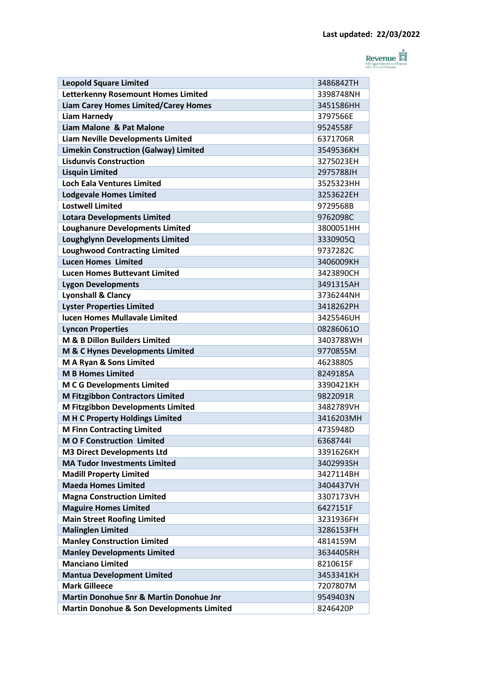

| <b>Leopold Square Limited</b>                        | 3486842TH |
|------------------------------------------------------|-----------|
| <b>Letterkenny Rosemount Homes Limited</b>           | 3398748NH |
| <b>Liam Carey Homes Limited/Carey Homes</b>          | 3451586HH |
| <b>Liam Harnedy</b>                                  | 3797566F  |
| Liam Malone & Pat Malone                             | 9524558F  |
| <b>Liam Neville Developments Limited</b>             | 6371706R  |
| <b>Limekin Construction (Galway) Limited</b>         | 3549536KH |
| <b>Lisdunvis Construction</b>                        | 3275023EH |
| <b>Lisquin Limited</b>                               | 2975788JH |
| <b>Loch Eala Ventures Limited</b>                    | 3525323HH |
| <b>Lodgevale Homes Limited</b>                       | 3253622EH |
| <b>Lostwell Limited</b>                              | 9729568B  |
| <b>Lotara Developments Limited</b>                   | 9762098C  |
| <b>Loughanure Developments Limited</b>               | 3800051HH |
| <b>Loughglynn Developments Limited</b>               | 3330905Q  |
| <b>Loughwood Contracting Limited</b>                 | 9737282C  |
| <b>Lucen Homes Limited</b>                           | 3406009KH |
| <b>Lucen Homes Buttevant Limited</b>                 | 3423890CH |
| <b>Lygon Developments</b>                            | 3491315AH |
| <b>Lyonshall &amp; Clancy</b>                        | 3736244NH |
| <b>Lyster Properties Limited</b>                     | 3418262PH |
| lucen Homes Mullavale Limited                        | 3425546UH |
| <b>Lyncon Properties</b>                             | 082860610 |
| M & B Dillon Builders Limited                        | 3403788WH |
| M & C Hynes Developments Limited                     | 9770855M  |
| M A Ryan & Sons Limited                              | 4623880S  |
| <b>M B Homes Limited</b>                             | 8249185A  |
| <b>M C G Developments Limited</b>                    | 3390421KH |
| <b>M Fitzgibbon Contractors Limited</b>              | 9822091R  |
| M Fitzgibbon Developments Limited                    | 3482789VH |
| M H C Property Holdings Limited                      | 3416203MH |
| <b>M Finn Contracting Limited</b>                    | 4735948D  |
| <b>MO F Construction Limited</b>                     | 63687441  |
| <b>M3 Direct Developments Ltd</b>                    | 3391626KH |
| <b>MA Tudor Investments Limited</b>                  | 3402993SH |
| <b>Madill Property Limited</b>                       | 3427114BH |
| <b>Maeda Homes Limited</b>                           | 3404437VH |
| <b>Magna Construction Limited</b>                    | 3307173VH |
| <b>Maguire Homes Limited</b>                         | 6427151F  |
| <b>Main Street Roofing Limited</b>                   | 3231936FH |
| <b>Malinglen Limited</b>                             | 3286153FH |
| <b>Manley Construction Limited</b>                   | 4814159M  |
| <b>Manley Developments Limited</b>                   | 3634405RH |
| <b>Manciano Limited</b>                              | 8210615F  |
| <b>Mantua Development Limited</b>                    | 3453341KH |
| <b>Mark Gilleece</b>                                 | 7207807M  |
| <b>Martin Donohue Snr &amp; Martin Donohue Jnr</b>   | 9549403N  |
| <b>Martin Donohue &amp; Son Developments Limited</b> | 8246420P  |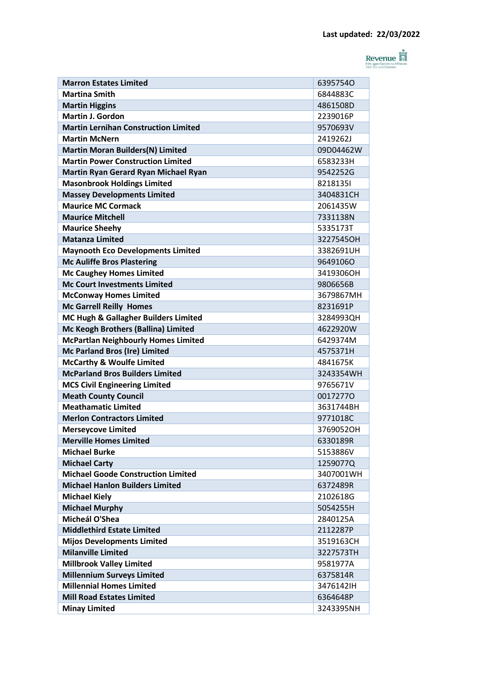

| <b>Marron Estates Limited</b>               | 63957540  |
|---------------------------------------------|-----------|
| <b>Martina Smith</b>                        | 6844883C  |
| <b>Martin Higgins</b>                       | 4861508D  |
| <b>Martin J. Gordon</b>                     | 2239016P  |
| <b>Martin Lernihan Construction Limited</b> | 9570693V  |
| <b>Martin McNern</b>                        | 2419262J  |
| <b>Martin Moran Builders(N) Limited</b>     | 09D04462W |
| <b>Martin Power Construction Limited</b>    | 6583233H  |
| Martin Ryan Gerard Ryan Michael Ryan        | 9542252G  |
| <b>Masonbrook Holdings Limited</b>          | 82181351  |
| <b>Massey Developments Limited</b>          | 3404831CH |
| <b>Maurice MC Cormack</b>                   | 2061435W  |
| <b>Maurice Mitchell</b>                     | 7331138N  |
| <b>Maurice Sheehy</b>                       | 5335173T  |
| <b>Matanza Limited</b>                      | 3227545OH |
| <b>Maynooth Eco Developments Limited</b>    | 3382691UH |
| <b>Mc Auliffe Bros Plastering</b>           | 96491060  |
| <b>Mc Caughey Homes Limited</b>             | 3419306OH |
| <b>Mc Court Investments Limited</b>         | 9806656B  |
| <b>McConway Homes Limited</b>               | 3679867MH |
| <b>Mc Garrell Reilly Homes</b>              | 8231691P  |
| MC Hugh & Gallagher Builders Limited        | 3284993QH |
| Mc Keogh Brothers (Ballina) Limited         | 4622920W  |
| <b>McPartlan Neighbourly Homes Limited</b>  | 6429374M  |
| <b>Mc Parland Bros (Ire) Limited</b>        | 4575371H  |
| <b>McCarthy &amp; Woulfe Limited</b>        | 4841675K  |
| <b>McParland Bros Builders Limited</b>      | 3243354WH |
| <b>MCS Civil Engineering Limited</b>        | 9765671V  |
| <b>Meath County Council</b>                 | 00172770  |
| <b>Meathamatic Limited</b>                  | 3631744BH |
| <b>Merlon Contractors Limited</b>           | 9771018C  |
| <b>Mersevcove Limited</b>                   | 3769052OH |
| <b>Merville Homes Limited</b>               | 6330189R  |
| <b>Michael Burke</b>                        | 5153886V  |
| <b>Michael Carty</b>                        | 1259077Q  |
| <b>Michael Goode Construction Limited</b>   | 3407001WH |
| <b>Michael Hanlon Builders Limited</b>      | 6372489R  |
| <b>Michael Kiely</b>                        | 2102618G  |
| <b>Michael Murphy</b>                       | 5054255H  |
| Micheál O'Shea                              | 2840125A  |
| <b>Middlethird Estate Limited</b>           | 2112287P  |
| <b>Mijos Developments Limited</b>           | 3519163CH |
| <b>Milanville Limited</b>                   | 3227573TH |
| <b>Millbrook Valley Limited</b>             | 9581977A  |
| <b>Millennium Surveys Limited</b>           | 6375814R  |
| <b>Millennial Homes Limited</b>             | 3476142IH |
| <b>Mill Road Estates Limited</b>            | 6364648P  |
| <b>Minay Limited</b>                        | 3243395NH |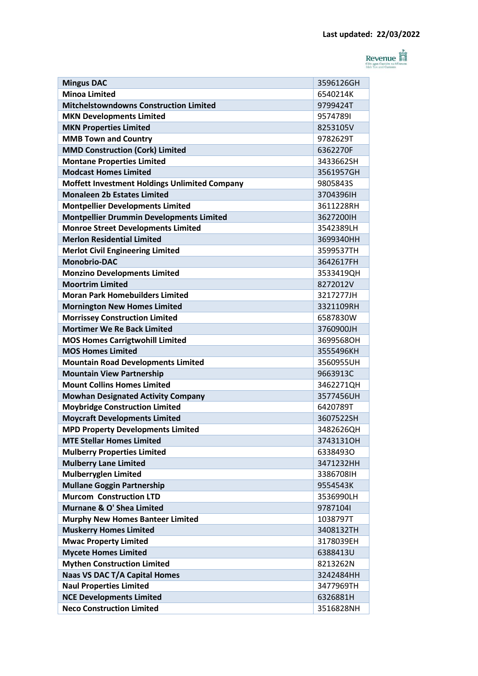

| <b>Mingus DAC</b>                               | 3596126GH |
|-------------------------------------------------|-----------|
| <b>Minoa Limited</b>                            | 6540214K  |
| <b>Mitchelstowndowns Construction Limited</b>   | 9799424T  |
| <b>MKN Developments Limited</b>                 | 95747891  |
| <b>MKN Properties Limited</b>                   | 8253105V  |
| <b>MMB Town and Country</b>                     | 9782629T  |
| <b>MMD Construction (Cork) Limited</b>          | 6362270F  |
| <b>Montane Properties Limited</b>               | 3433662SH |
| <b>Modcast Homes Limited</b>                    | 3561957GH |
| Moffett Investment Holdings Unlimited Company   | 9805843S  |
| <b>Monaleen 2b Estates Limited</b>              | 3704396IH |
| <b>Montpellier Developments Limited</b>         | 3611228RH |
| <b>Montpellier Drummin Developments Limited</b> | 3627200IH |
| <b>Monroe Street Developments Limited</b>       | 3542389LH |
| <b>Merlon Residential Limited</b>               | 3699340HH |
| <b>Merlot Civil Engineering Limited</b>         | 3599537TH |
| <b>Monobrio-DAC</b>                             | 3642617FH |
| <b>Monzino Developments Limited</b>             | 3533419QH |
| <b>Moortrim Limited</b>                         | 8272012V  |
| <b>Moran Park Homebuilders Limited</b>          | 3217277JH |
| <b>Mornington New Homes Limited</b>             | 3321109RH |
| <b>Morrissey Construction Limited</b>           | 6587830W  |
| <b>Mortimer We Re Back Limited</b>              | 3760900JH |
| <b>MOS Homes Carrigtwohill Limited</b>          | 3699568OH |
| <b>MOS Homes Limited</b>                        | 3555496KH |
| <b>Mountain Road Developments Limited</b>       | 3560955UH |
| <b>Mountain View Partnership</b>                | 9663913C  |
| <b>Mount Collins Homes Limited</b>              | 3462271QH |
| <b>Mowhan Designated Activity Company</b>       | 3577456UH |
| <b>Moybridge Construction Limited</b>           | 6420789T  |
| <b>Moycraft Developments Limited</b>            | 3607522SH |
| <b>MPD Property Developments Limited</b>        | 3482626QH |
| <b>MTE Stellar Homes Limited</b>                | 3743131OH |
| <b>Mulberry Properties Limited</b>              | 63384930  |
| <b>Mulberry Lane Limited</b>                    | 3471232HH |
| <b>Mulberryglen Limited</b>                     | 3386708IH |
| <b>Mullane Goggin Partnership</b>               | 9554543K  |
| <b>Murcom Construction LTD</b>                  | 3536990LH |
| Murnane & O' Shea Limited                       | 97871041  |
| <b>Murphy New Homes Banteer Limited</b>         | 1038797T  |
| <b>Muskerry Homes Limited</b>                   | 3408132TH |
| <b>Mwac Property Limited</b>                    | 3178039EH |
| <b>Mycete Homes Limited</b>                     | 6388413U  |
| <b>Mythen Construction Limited</b>              | 8213262N  |
| <b>Naas VS DAC T/A Capital Homes</b>            | 3242484HH |
| <b>Naul Properties Limited</b>                  | 3477969TH |
| <b>NCE Developments Limited</b>                 | 6326881H  |
| <b>Neco Construction Limited</b>                | 3516828NH |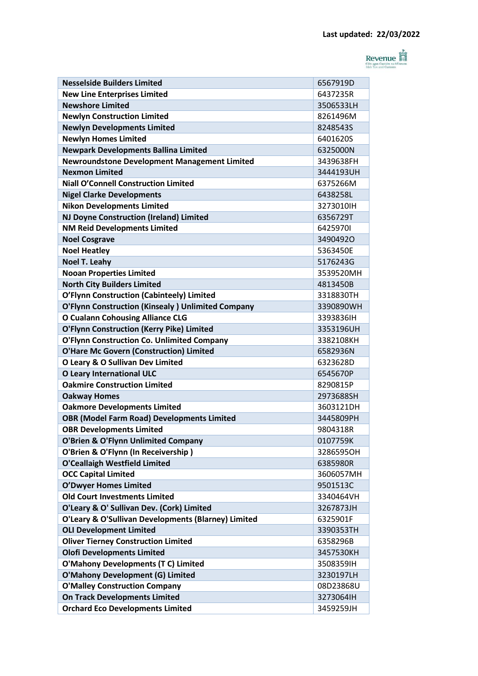

| <b>Nesselside Builders Limited</b>                  | 6567919D  |
|-----------------------------------------------------|-----------|
| <b>New Line Enterprises Limited</b>                 | 6437235R  |
| <b>Newshore Limited</b>                             | 3506533LH |
| <b>Newlyn Construction Limited</b>                  | 8261496M  |
| <b>Newlyn Developments Limited</b>                  | 8248543S  |
| <b>Newlyn Homes Limited</b>                         | 6401620S  |
| <b>Newpark Developments Ballina Limited</b>         | 6325000N  |
| <b>Newroundstone Development Management Limited</b> | 3439638FH |
| <b>Nexmon Limited</b>                               | 3444193UH |
| <b>Niall O'Connell Construction Limited</b>         | 6375266M  |
| <b>Nigel Clarke Developments</b>                    | 6438258L  |
| <b>Nikon Developments Limited</b>                   | 3273010IH |
| <b>NJ Doyne Construction (Ireland) Limited</b>      | 6356729T  |
| <b>NM Reid Developments Limited</b>                 | 64259701  |
| <b>Noel Cosgrave</b>                                | 34904920  |
| <b>Noel Heatley</b>                                 | 5363450E  |
| <b>Noel T. Leahy</b>                                | 5176243G  |
| <b>Nooan Properties Limited</b>                     | 3539520MH |
| <b>North City Builders Limited</b>                  | 4813450B  |
| O'Flynn Construction (Cabinteely) Limited           | 3318830TH |
| O'Flynn Construction (Kinsealy) Unlimited Company   | 3390890WH |
| <b>O Cualann Cohousing Alliance CLG</b>             | 3393836IH |
| <b>O'Flynn Construction (Kerry Pike) Limited</b>    | 3353196UH |
| O'Flynn Construction Co. Unlimited Company          | 3382108KH |
| <b>O'Hare Mc Govern (Construction) Limited</b>      | 6582936N  |
| O Leary & O Sullivan Dev Limited                    | 6323628D  |
| <b>O Leary International ULC</b>                    | 6545670P  |
| <b>Oakmire Construction Limited</b>                 | 8290815P  |
| <b>Oakway Homes</b>                                 | 2973688SH |
| <b>Oakmore Developments Limited</b>                 | 3603121DH |
| <b>OBR (Model Farm Road) Developments Limited</b>   | 3445809PH |
| <b>OBR Developments Limited</b>                     | 9804318R  |
| <b>O'Brien &amp; O'Flynn Unlimited Company</b>      | 0107759K  |
| O'Brien & O'Flynn (In Receivership)                 | 3286595OH |
| <b>O'Ceallaigh Westfield Limited</b>                | 6385980R  |
| <b>OCC Capital Limited</b>                          | 3606057MH |
| <b>O'Dwyer Homes Limited</b>                        | 9501513C  |
| <b>Old Court Investments Limited</b>                | 3340464VH |
| O'Leary & O' Sullivan Dev. (Cork) Limited           | 3267873JH |
| O'Leary & O'Sullivan Developments (Blarney) Limited | 6325901F  |
| <b>OLI Development Limited</b>                      | 3390353TH |
| <b>Oliver Tierney Construction Limited</b>          | 6358296B  |
| <b>Olofi Developments Limited</b>                   | 3457530KH |
| <b>O'Mahony Developments (T C) Limited</b>          | 3508359IH |
| <b>O'Mahony Development (G) Limited</b>             | 3230197LH |
| <b>O'Malley Construction Company</b>                | 08D23868U |
| <b>On Track Developments Limited</b>                | 3273064IH |
| <b>Orchard Eco Developments Limited</b>             | 3459259JH |
|                                                     |           |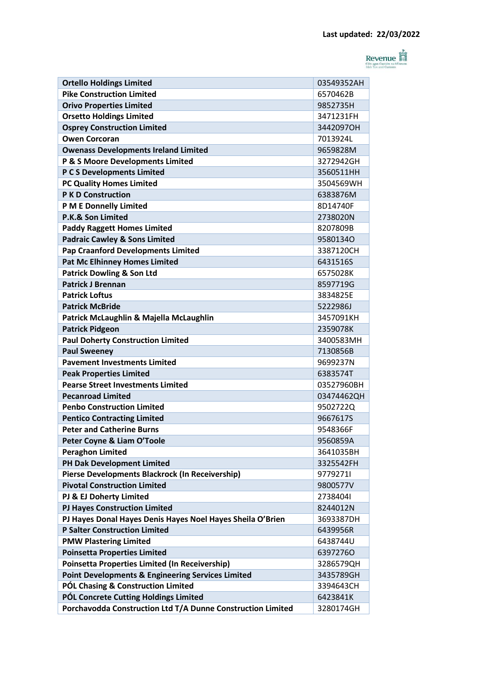

| <b>Ortello Holdings Limited</b>                              | 03549352AH |
|--------------------------------------------------------------|------------|
| <b>Pike Construction Limited</b>                             | 6570462B   |
| <b>Orivo Properties Limited</b>                              | 9852735H   |
| <b>Orsetto Holdings Limited</b>                              | 3471231FH  |
| <b>Osprey Construction Limited</b>                           | 3442097OH  |
| <b>Owen Corcoran</b>                                         | 7013924L   |
| <b>Owenass Developments Ireland Limited</b>                  | 9659828M   |
| P & S Moore Developments Limited                             | 3272942GH  |
| P C S Developments Limited                                   | 3560511HH  |
| <b>PC Quality Homes Limited</b>                              | 3504569WH  |
| <b>P K D Construction</b>                                    | 6383876M   |
| <b>P M E Donnelly Limited</b>                                | 8D14740F   |
| P.K.& Son Limited                                            | 2738020N   |
| <b>Paddy Raggett Homes Limited</b>                           | 8207809B   |
| <b>Padraic Cawley &amp; Sons Limited</b>                     | 95801340   |
| <b>Pap Craanford Developments Limited</b>                    | 3387120CH  |
| <b>Pat Mc Elhinney Homes Limited</b>                         | 6431516S   |
| <b>Patrick Dowling &amp; Son Ltd</b>                         | 6575028K   |
| <b>Patrick J Brennan</b>                                     | 8597719G   |
| <b>Patrick Loftus</b>                                        | 3834825E   |
| <b>Patrick McBride</b>                                       | 5222986J   |
| Patrick McLaughlin & Majella McLaughlin                      | 3457091KH  |
| <b>Patrick Pidgeon</b>                                       | 2359078K   |
| <b>Paul Doherty Construction Limited</b>                     | 3400583MH  |
| <b>Paul Sweeney</b>                                          | 7130856B   |
| <b>Pavement Investments Limited</b>                          | 9699237N   |
| <b>Peak Properties Limited</b>                               | 6383574T   |
| <b>Pearse Street Investments Limited</b>                     | 03527960BH |
| <b>Pecanroad Limited</b>                                     | 03474462QH |
| <b>Penbo Construction Limited</b>                            | 9502722Q   |
| <b>Pentico Contracting Limited</b>                           | 9667617S   |
| <b>Peter and Catherine Burns</b>                             | 9548366F   |
| Peter Coyne & Liam O'Toole                                   | 9560859A   |
| <b>Peraghon Limited</b>                                      | 3641035BH  |
| PH Dak Development Limited                                   | 3325542FH  |
| Pierse Developments Blackrock (In Receivership)              | 97792711   |
| <b>Pivotal Construction Limited</b>                          | 9800577V   |
| PJ & EJ Doherty Limited                                      | 27384041   |
| <b>PJ Hayes Construction Limited</b>                         | 8244012N   |
| PJ Hayes Donal Hayes Denis Hayes Noel Hayes Sheila O'Brien   | 3693387DH  |
| <b>P Salter Construction Limited</b>                         | 6439956R   |
| <b>PMW Plastering Limited</b>                                | 6438744U   |
| <b>Poinsetta Properties Limited</b>                          | 63972760   |
| <b>Poinsetta Properties Limited (In Receivership)</b>        | 3286579QH  |
| <b>Point Developments &amp; Engineering Services Limited</b> | 3435789GH  |
| <b>PÓL Chasing &amp; Construction Limited</b>                | 3394643CH  |
| PÓL Concrete Cutting Holdings Limited                        | 6423841K   |
| Porchavodda Construction Ltd T/A Dunne Construction Limited  | 3280174GH  |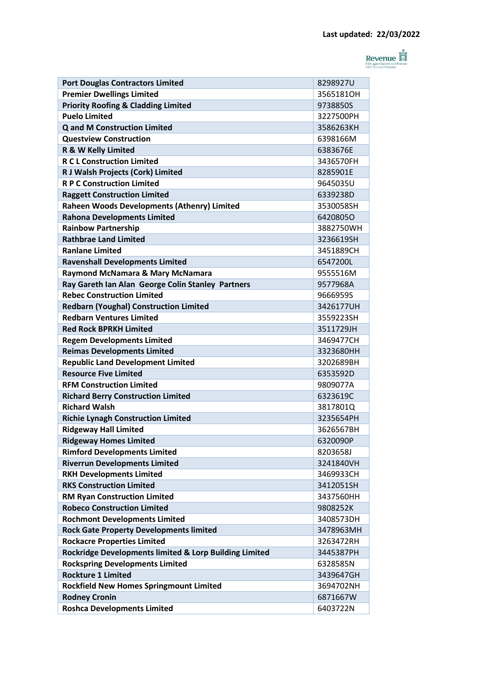

| <b>Port Douglas Contractors Limited</b>                | 8298927U  |
|--------------------------------------------------------|-----------|
| <b>Premier Dwellings Limited</b>                       | 3565181OH |
| <b>Priority Roofing &amp; Cladding Limited</b>         | 9738850S  |
| <b>Puelo Limited</b>                                   | 3227500PH |
| <b>Q and M Construction Limited</b>                    | 3586263KH |
| <b>Questview Construction</b>                          | 6398166M  |
| R & W Kelly Limited                                    | 6383676E  |
| <b>R C L Construction Limited</b>                      | 3436570FH |
| R J Walsh Projects (Cork) Limited                      | 8285901E  |
| <b>R P C Construction Limited</b>                      | 9645035U  |
| <b>Raggett Construction Limited</b>                    | 6339238D  |
| Raheen Woods Developments (Athenry) Limited            | 3530058SH |
| <b>Rahona Developments Limited</b>                     | 64208050  |
| <b>Rainbow Partnership</b>                             | 3882750WH |
| <b>Rathbrae Land Limited</b>                           | 3236619SH |
| <b>Ranlane Limited</b>                                 | 3451889CH |
| <b>Ravenshall Developments Limited</b>                 | 6547200L  |
| Raymond McNamara & Mary McNamara                       | 9555516M  |
| Ray Gareth Ian Alan George Colin Stanley Partners      | 9577968A  |
| <b>Rebec Construction Limited</b>                      | 9666959S  |
| <b>Redbarn (Youghal) Construction Limited</b>          | 3426177UH |
| <b>Redbarn Ventures Limited</b>                        | 3559223SH |
| <b>Red Rock BPRKH Limited</b>                          | 3511729JH |
| <b>Regem Developments Limited</b>                      | 3469477CH |
| <b>Reimas Developments Limited</b>                     | 3323680HH |
| <b>Republic Land Development Limited</b>               | 3202689BH |
| <b>Resource Five Limited</b>                           | 6353592D  |
| <b>RFM Construction Limited</b>                        | 9809077A  |
| <b>Richard Berry Construction Limited</b>              | 6323619C  |
| <b>Richard Walsh</b>                                   | 3817801Q  |
| <b>Richie Lynagh Construction Limited</b>              | 3235654PH |
| <b>Ridgeway Hall Limited</b>                           | 3626567BH |
| <b>Ridgeway Homes Limited</b>                          | 6320090P  |
| <b>Rimford Developments Limited</b>                    | 8203658J  |
| <b>Riverrun Developments Limited</b>                   | 3241840VH |
| <b>RKH Developments Limited</b>                        | 3469933CH |
| <b>RKS Construction Limited</b>                        | 3412051SH |
| <b>RM Ryan Construction Limited</b>                    | 3437560HH |
| <b>Robeco Construction Limited</b>                     | 9808252K  |
| <b>Rochmont Developments Limited</b>                   | 3408573DH |
| <b>Rock Gate Property Developments limited</b>         | 3478963MH |
| <b>Rockacre Properties Limited</b>                     | 3263472RH |
| Rockridge Developments limited & Lorp Building Limited | 3445387PH |
| <b>Rockspring Developments Limited</b>                 | 6328585N  |
| <b>Rockture 1 Limited</b>                              | 3439647GH |
| <b>Rockfield New Homes Springmount Limited</b>         | 3694702NH |
| <b>Rodney Cronin</b>                                   | 6871667W  |
| <b>Roshca Developments Limited</b>                     | 6403722N  |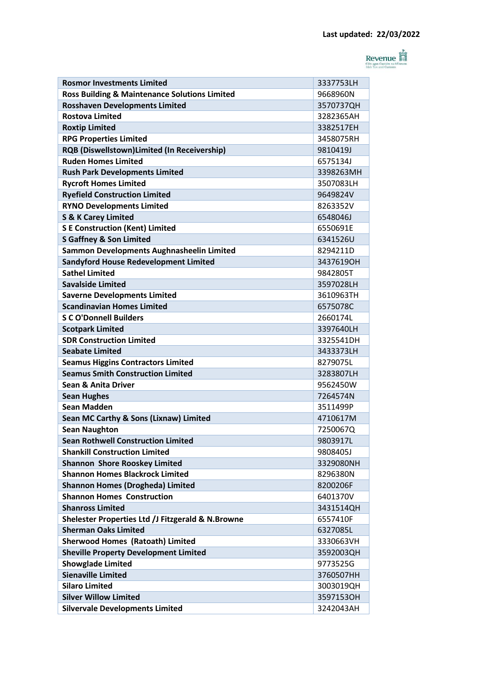

| <b>Rosmor Investments Limited</b>                                                | 3337753LH |
|----------------------------------------------------------------------------------|-----------|
| <b>Ross Building &amp; Maintenance Solutions Limited</b>                         | 9668960N  |
| <b>Rosshaven Developments Limited</b>                                            | 3570737QH |
| <b>Rostova Limited</b>                                                           | 3282365AH |
| <b>Roxtip Limited</b>                                                            | 3382517EH |
| <b>RPG Properties Limited</b>                                                    | 3458075RH |
| <b>RQB (Diswellstown)Limited (In Receivership)</b>                               | 9810419J  |
| <b>Ruden Homes Limited</b>                                                       | 6575134J  |
| <b>Rush Park Developments Limited</b>                                            | 3398263MH |
| <b>Rycroft Homes Limited</b>                                                     | 3507083LH |
| <b>Ryefield Construction Limited</b>                                             | 9649824V  |
| <b>RYNO Developments Limited</b>                                                 | 8263352V  |
| <b>S &amp; K Carey Limited</b>                                                   | 6548046J  |
| <b>S E Construction (Kent) Limited</b>                                           | 6550691E  |
| <b>S Gaffney &amp; Son Limited</b>                                               | 6341526U  |
| Sammon Developments Aughnasheelin Limited                                        | 8294211D  |
| <b>Sandyford House Redevelopment Limited</b>                                     | 3437619OH |
| <b>Sathel Limited</b>                                                            | 9842805T  |
| <b>Savalside Limited</b>                                                         | 3597028LH |
| <b>Saverne Developments Limited</b>                                              | 3610963TH |
| <b>Scandinavian Homes Limited</b>                                                | 6575078C  |
| <b>S C O'Donnell Builders</b>                                                    | 2660174L  |
| <b>Scotpark Limited</b>                                                          | 3397640LH |
| <b>SDR Construction Limited</b>                                                  | 3325541DH |
| <b>Seabate Limited</b>                                                           | 3433373LH |
| <b>Seamus Higgins Contractors Limited</b>                                        | 8279075L  |
| <b>Seamus Smith Construction Limited</b>                                         | 3283807LH |
| <b>Sean &amp; Anita Driver</b>                                                   | 9562450W  |
| <b>Sean Hughes</b>                                                               | 7264574N  |
| Sean Madden                                                                      | 3511499P  |
| Sean MC Carthy & Sons (Lixnaw) Limited                                           | 4710617M  |
| <b>Sean Naughton</b>                                                             | 7250067Q  |
| <b>Sean Rothwell Construction Limited</b>                                        | 9803917L  |
| <b>Shankill Construction Limited</b>                                             | 9808405J  |
| <b>Shannon Shore Rooskey Limited</b>                                             | 3329080NH |
| <b>Shannon Homes Blackrock Limited</b>                                           | 8296380N  |
| <b>Shannon Homes (Drogheda) Limited</b>                                          | 8200206F  |
| <b>Shannon Homes Construction</b>                                                | 6401370V  |
| <b>Shanross Limited</b>                                                          | 3431514QH |
|                                                                                  | 6557410F  |
| Shelester Properties Ltd /J Fitzgerald & N.Browne<br><b>Sherman Oaks Limited</b> | 6327085L  |
|                                                                                  | 3330663VH |
| <b>Sherwood Homes (Ratoath) Limited</b>                                          |           |
| <b>Sheville Property Development Limited</b>                                     | 3592003QH |
| <b>Showglade Limited</b>                                                         | 9773525G  |
| <b>Sienaville Limited</b>                                                        | 3760507HH |
| <b>Silaro Limited</b>                                                            | 3003019QH |
| <b>Silver Willow Limited</b>                                                     | 3597153OH |
| <b>Silvervale Developments Limited</b>                                           | 3242043AH |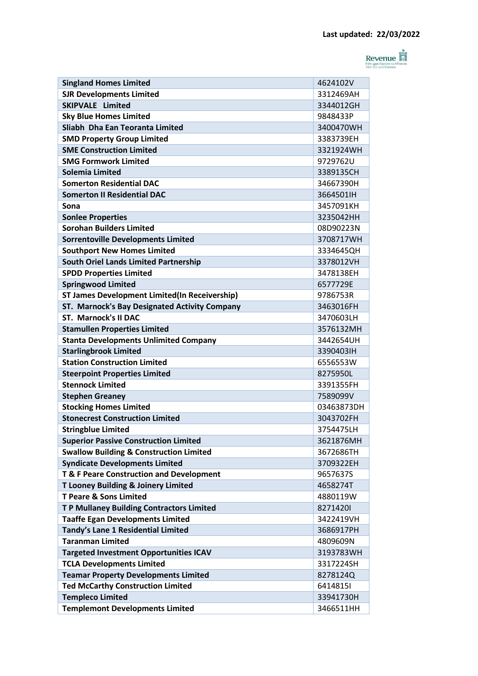

| <b>Singland Homes Limited</b>                        | 4624102V   |
|------------------------------------------------------|------------|
| <b>SJR Developments Limited</b>                      | 3312469AH  |
| <b>SKIPVALE Limited</b>                              | 3344012GH  |
| <b>Sky Blue Homes Limited</b>                        | 9848433P   |
| Sliabh Dha Ean Teoranta Limited                      | 3400470WH  |
| <b>SMD Property Group Limited</b>                    | 3383739EH  |
| <b>SME Construction Limited</b>                      | 3321924WH  |
| <b>SMG Formwork Limited</b>                          | 9729762U   |
| <b>Solemia Limited</b>                               | 3389135CH  |
| <b>Somerton Residential DAC</b>                      | 34667390H  |
| <b>Somerton II Residential DAC</b>                   | 3664501lH  |
| Sona                                                 | 3457091KH  |
| <b>Sonlee Properties</b>                             | 3235042HH  |
| <b>Sorohan Builders Limited</b>                      | 08D90223N  |
| <b>Sorrentoville Developments Limited</b>            | 3708717WH  |
| <b>Southport New Homes Limited</b>                   | 3334645QH  |
| <b>South Oriel Lands Limited Partnership</b>         | 3378012VH  |
| <b>SPDD Properties Limited</b>                       | 3478138FH  |
| <b>Springwood Limited</b>                            | 6577729E   |
| <b>ST James Development Limited(In Receivership)</b> | 9786753R   |
| ST. Marnock's Bay Designated Activity Company        | 3463016FH  |
| <b>ST. Marnock's II DAC</b>                          | 3470603LH  |
| <b>Stamullen Properties Limited</b>                  | 3576132MH  |
| <b>Stanta Developments Unlimited Company</b>         | 3442654UH  |
| <b>Starlingbrook Limited</b>                         | 3390403IH  |
| <b>Station Construction Limited</b>                  | 6556553W   |
| <b>Steerpoint Properties Limited</b>                 | 8275950L   |
| <b>Stennock Limited</b>                              | 3391355FH  |
| <b>Stephen Greaney</b>                               | 7589099V   |
| <b>Stocking Homes Limited</b>                        | 03463873DH |
| <b>Stonecrest Construction Limited</b>               | 3043702FH  |
| <b>Stringblue Limited</b>                            | 3754475LH  |
| <b>Superior Passive Construction Limited</b>         | 3621876MH  |
| <b>Swallow Building &amp; Construction Limited</b>   | 3672686TH  |
| <b>Syndicate Developments Limited</b>                | 3709322EH  |
| T & F Peare Construction and Development             | 9657637S   |
| <b>T Looney Building &amp; Joinery Limited</b>       | 4658274T   |
| <b>T Peare &amp; Sons Limited</b>                    | 4880119W   |
| <b>TP Mullaney Building Contractors Limited</b>      | 82714201   |
| <b>Taaffe Egan Developments Limited</b>              | 3422419VH  |
| Tandy's Lane 1 Residential Limited                   | 3686917PH  |
| <b>Taranman Limited</b>                              | 4809609N   |
| <b>Targeted Investment Opportunities ICAV</b>        | 3193783WH  |
| <b>TCLA Developments Limited</b>                     | 3317224SH  |
| <b>Teamar Property Developments Limited</b>          | 8278124Q   |
| <b>Ted McCarthy Construction Limited</b>             | 64148151   |
| <b>Templeco Limited</b>                              | 33941730H  |
| <b>Templemont Developments Limited</b>               | 3466511HH  |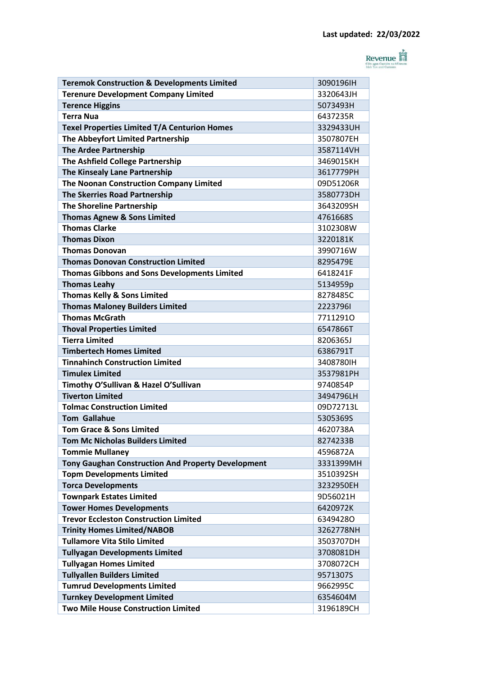

| <b>Teremok Construction &amp; Developments Limited</b>    | 3090196IH |
|-----------------------------------------------------------|-----------|
| <b>Terenure Development Company Limited</b>               | 3320643JH |
| <b>Terence Higgins</b>                                    | 5073493H  |
| <b>Terra Nua</b>                                          | 6437235R  |
| Texel Properties Limited T/A Centurion Homes              | 3329433UH |
| The Abbeyfort Limited Partnership                         | 3507807EH |
| <b>The Ardee Partnership</b>                              | 3587114VH |
| The Ashfield College Partnership                          | 3469015KH |
| The Kinsealy Lane Partnership                             | 3617779PH |
| The Noonan Construction Company Limited                   | 09D51206R |
| <b>The Skerries Road Partnership</b>                      | 3580773DH |
| <b>The Shoreline Partnership</b>                          | 3643209SH |
| <b>Thomas Agnew &amp; Sons Limited</b>                    | 4761668S  |
| <b>Thomas Clarke</b>                                      | 3102308W  |
| <b>Thomas Dixon</b>                                       | 3220181K  |
| <b>Thomas Donovan</b>                                     | 3990716W  |
| <b>Thomas Donovan Construction Limited</b>                | 8295479E  |
| <b>Thomas Gibbons and Sons Developments Limited</b>       | 6418241F  |
| <b>Thomas Leahy</b>                                       | 5134959p  |
| <b>Thomas Kelly &amp; Sons Limited</b>                    | 8278485C  |
| <b>Thomas Maloney Builders Limited</b>                    | 22237961  |
| <b>Thomas McGrath</b>                                     | 77112910  |
| <b>Thoval Properties Limited</b>                          | 6547866T  |
| <b>Tierra Limited</b>                                     | 8206365J  |
| <b>Timbertech Homes Limited</b>                           | 6386791T  |
| <b>Tinnahinch Construction Limited</b>                    | 3408780IH |
| <b>Timulex Limited</b>                                    | 3537981PH |
| Timothy O'Sullivan & Hazel O'Sullivan                     | 9740854P  |
| <b>Tiverton Limited</b>                                   | 3494796LH |
| <b>Tolmac Construction Limited</b>                        | 09D72713L |
| <b>Tom Gallahue</b>                                       | 5305369S  |
| <b>Tom Grace &amp; Sons Limited</b>                       | 4620738A  |
| <b>Tom Mc Nicholas Builders Limited</b>                   | 8274233B  |
| <b>Tommie Mullaney</b>                                    | 4596872A  |
| <b>Tony Gaughan Construction And Property Development</b> | 3331399MH |
| <b>Topm Developments Limited</b>                          | 3510392SH |
| <b>Torca Developments</b>                                 | 3232950EH |
| <b>Townpark Estates Limited</b>                           | 9D56021H  |
| <b>Tower Homes Developments</b>                           | 6420972K  |
| <b>Trevor Eccleston Construction Limited</b>              | 63494280  |
| <b>Trinity Homes Limited/NABOB</b>                        | 3262778NH |
| <b>Tullamore Vita Stilo Limited</b>                       | 3503707DH |
| <b>Tullyagan Developments Limited</b>                     | 3708081DH |
| <b>Tullyagan Homes Limited</b>                            | 3708072CH |
| <b>Tullyallen Builders Limited</b>                        | 9571307S  |
| <b>Tumrud Developments Limited</b>                        | 9662995C  |
| <b>Turnkey Development Limited</b>                        | 6354604M  |
| <b>Two Mile House Construction Limited</b>                | 3196189CH |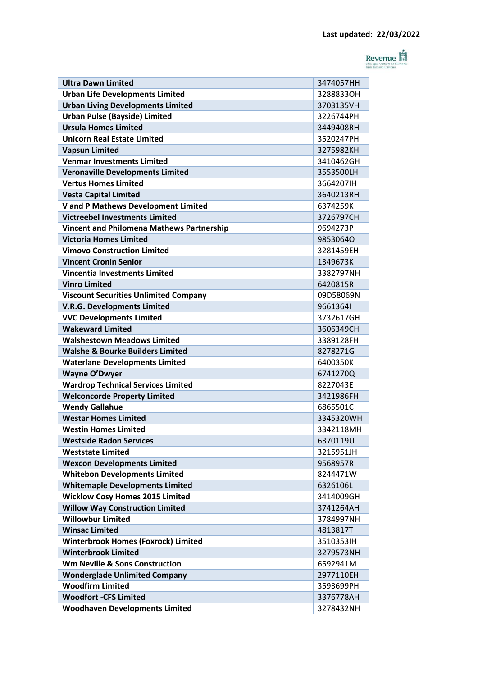

| <b>Ultra Dawn Limited</b>                                                         | 3474057HH |
|-----------------------------------------------------------------------------------|-----------|
| <b>Urban Life Developments Limited</b>                                            | 32888330H |
| <b>Urban Living Developments Limited</b>                                          | 3703135VH |
| <b>Urban Pulse (Bayside) Limited</b>                                              | 3226744PH |
| <b>Ursula Homes Limited</b>                                                       | 3449408RH |
| <b>Unicorn Real Estate Limited</b>                                                | 3520247PH |
| <b>Vapsun Limited</b>                                                             | 3275982KH |
| <b>Venmar Investments Limited</b>                                                 | 3410462GH |
| <b>Veronaville Developments Limited</b><br><b>Vertus Homes Limited</b>            | 3553500LH |
|                                                                                   | 3664207IH |
| <b>Vesta Capital Limited</b>                                                      | 3640213RH |
| V and P Mathews Development Limited                                               | 6374259K  |
| <b>Victreebel Investments Limited</b>                                             | 3726797CH |
| <b>Vincent and Philomena Mathews Partnership</b><br><b>Victoria Homes Limited</b> | 9694273P  |
| <b>Vimovo Construction Limited</b>                                                | 98530640  |
| <b>Vincent Cronin Senior</b>                                                      | 3281459EH |
|                                                                                   | 1349673K  |
| <b>Vincentia Investments Limited</b>                                              | 3382797NH |
| <b>Vinro Limited</b>                                                              | 6420815R  |
| <b>Viscount Securities Unlimited Company</b>                                      | 09D58069N |
| <b>V.R.G. Developments Limited</b>                                                | 96613641  |
| <b>VVC Developments Limited</b>                                                   | 3732617GH |
| <b>Wakeward Limited</b>                                                           | 3606349CH |
| <b>Walshestown Meadows Limited</b>                                                | 3389128FH |
| <b>Walshe &amp; Bourke Builders Limited</b>                                       | 8278271G  |
| <b>Waterlane Developments Limited</b>                                             | 6400350K  |
| <b>Wayne O'Dwyer</b>                                                              | 6741270Q  |
| <b>Wardrop Technical Services Limited</b>                                         | 8227043E  |
| <b>Welconcorde Property Limited</b>                                               | 3421986FH |
| <b>Wendy Gallahue</b>                                                             | 6865501C  |
| <b>Westar Homes Limited</b>                                                       | 3345320WH |
| <b>Westin Homes Limited</b>                                                       | 3342118MH |
| <b>Westside Radon Services</b>                                                    | 6370119U  |
| <b>Weststate Limited</b>                                                          | 3215951JH |
| <b>Wexcon Developments Limited</b>                                                | 9568957R  |
| <b>Whitebon Developments Limited</b>                                              | 8244471W  |
| <b>Whitemaple Developments Limited</b>                                            | 6326106L  |
| <b>Wicklow Cosy Homes 2015 Limited</b>                                            | 3414009GH |
| <b>Willow Way Construction Limited</b>                                            | 3741264AH |
| <b>Willowbur Limited</b>                                                          | 3784997NH |
| <b>Winsac Limited</b>                                                             | 4813817T  |
| <b>Winterbrook Homes (Foxrock) Limited</b>                                        | 3510353IH |
| <b>Winterbrook Limited</b>                                                        | 3279573NH |
| <b>Wm Neville &amp; Sons Construction</b>                                         | 6592941M  |
| <b>Wonderglade Unlimited Company</b>                                              | 2977110EH |
| <b>Woodfirm Limited</b>                                                           | 3593699PH |
| <b>Woodfort -CFS Limited</b>                                                      | 3376778AH |
| <b>Woodhaven Developments Limited</b>                                             | 3278432NH |